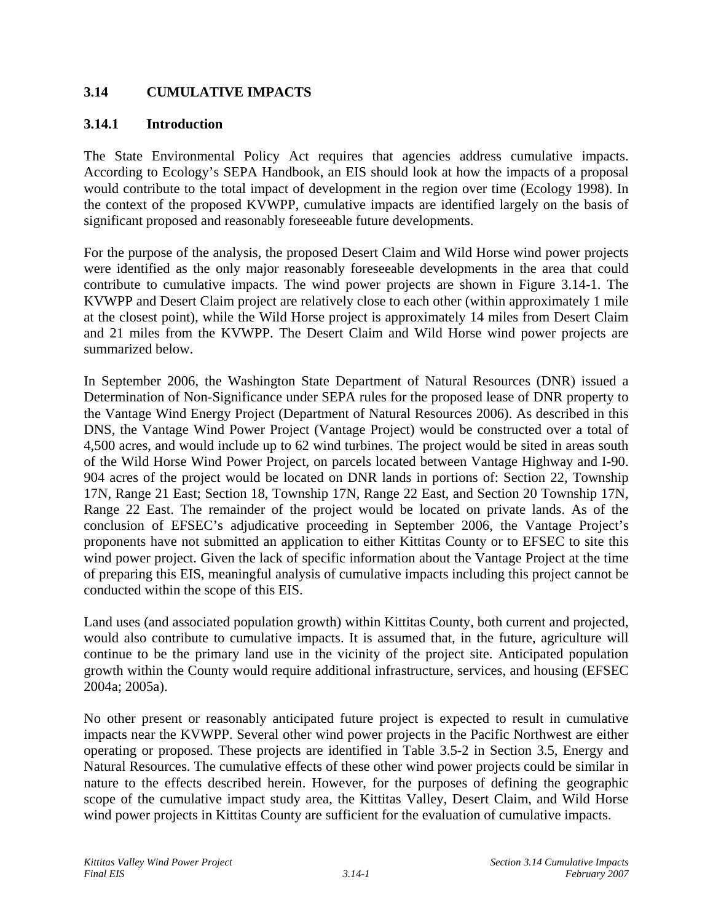# **3.14 CUMULATIVE IMPACTS**

### **3.14.1 Introduction**

The State Environmental Policy Act requires that agencies address cumulative impacts. According to Ecology's SEPA Handbook, an EIS should look at how the impacts of a proposal would contribute to the total impact of development in the region over time (Ecology 1998). In the context of the proposed KVWPP, cumulative impacts are identified largely on the basis of significant proposed and reasonably foreseeable future developments.

For the purpose of the analysis, the proposed Desert Claim and Wild Horse wind power projects were identified as the only major reasonably foreseeable developments in the area that could contribute to cumulative impacts. The wind power projects are shown in Figure 3.14-1. The KVWPP and Desert Claim project are relatively close to each other (within approximately 1 mile at the closest point), while the Wild Horse project is approximately 14 miles from Desert Claim and 21 miles from the KVWPP. The Desert Claim and Wild Horse wind power projects are summarized below.

In September 2006, the Washington State Department of Natural Resources (DNR) issued a Determination of Non-Significance under SEPA rules for the proposed lease of DNR property to the Vantage Wind Energy Project (Department of Natural Resources 2006). As described in this DNS, the Vantage Wind Power Project (Vantage Project) would be constructed over a total of 4,500 acres, and would include up to 62 wind turbines. The project would be sited in areas south of the Wild Horse Wind Power Project, on parcels located between Vantage Highway and I-90. 904 acres of the project would be located on DNR lands in portions of: Section 22, Township 17N, Range 21 East; Section 18, Township 17N, Range 22 East, and Section 20 Township 17N, Range 22 East. The remainder of the project would be located on private lands. As of the conclusion of EFSEC's adjudicative proceeding in September 2006, the Vantage Project's proponents have not submitted an application to either Kittitas County or to EFSEC to site this wind power project. Given the lack of specific information about the Vantage Project at the time of preparing this EIS, meaningful analysis of cumulative impacts including this project cannot be conducted within the scope of this EIS.

Land uses (and associated population growth) within Kittitas County, both current and projected, would also contribute to cumulative impacts. It is assumed that, in the future, agriculture will continue to be the primary land use in the vicinity of the project site. Anticipated population growth within the County would require additional infrastructure, services, and housing (EFSEC 2004a; 2005a).

No other present or reasonably anticipated future project is expected to result in cumulative impacts near the KVWPP. Several other wind power projects in the Pacific Northwest are either operating or proposed. These projects are identified in Table 3.5-2 in Section 3.5, Energy and Natural Resources. The cumulative effects of these other wind power projects could be similar in nature to the effects described herein. However, for the purposes of defining the geographic scope of the cumulative impact study area, the Kittitas Valley, Desert Claim, and Wild Horse wind power projects in Kittitas County are sufficient for the evaluation of cumulative impacts.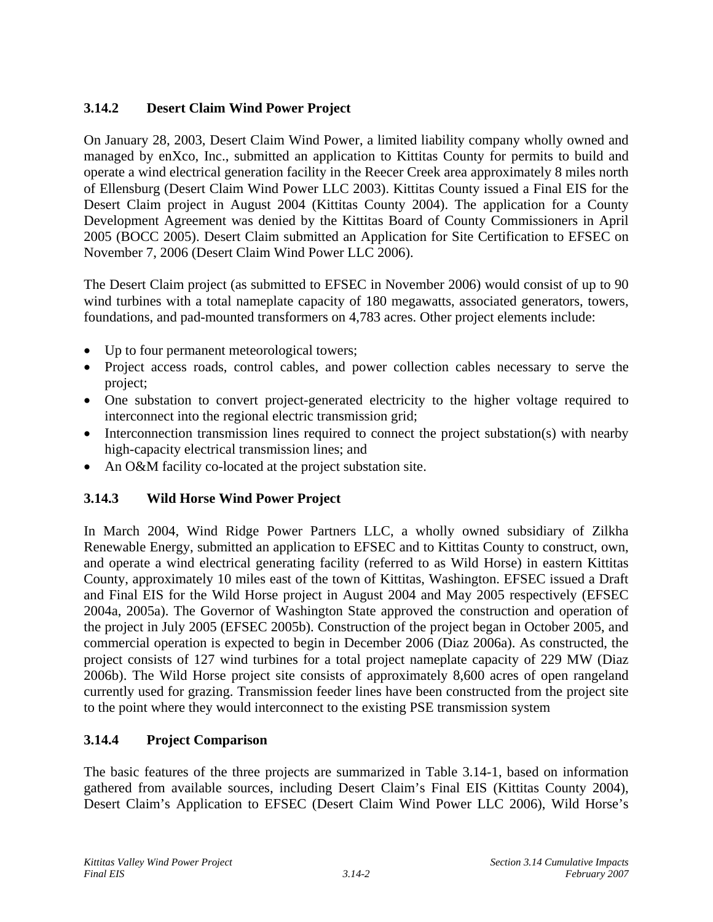# **3.14.2 Desert Claim Wind Power Project**

On January 28, 2003, Desert Claim Wind Power, a limited liability company wholly owned and managed by enXco, Inc., submitted an application to Kittitas County for permits to build and operate a wind electrical generation facility in the Reecer Creek area approximately 8 miles north of Ellensburg (Desert Claim Wind Power LLC 2003). Kittitas County issued a Final EIS for the Desert Claim project in August 2004 (Kittitas County 2004). The application for a County Development Agreement was denied by the Kittitas Board of County Commissioners in April 2005 (BOCC 2005). Desert Claim submitted an Application for Site Certification to EFSEC on November 7, 2006 (Desert Claim Wind Power LLC 2006).

The Desert Claim project (as submitted to EFSEC in November 2006) would consist of up to 90 wind turbines with a total nameplate capacity of 180 megawatts, associated generators, towers, foundations, and pad-mounted transformers on 4,783 acres. Other project elements include:

- Up to four permanent meteorological towers;
- Project access roads, control cables, and power collection cables necessary to serve the project;
- One substation to convert project-generated electricity to the higher voltage required to interconnect into the regional electric transmission grid;
- Interconnection transmission lines required to connect the project substation(s) with nearby high-capacity electrical transmission lines; and
- An O&M facility co-located at the project substation site.

# **3.14.3 Wild Horse Wind Power Project**

In March 2004, Wind Ridge Power Partners LLC, a wholly owned subsidiary of Zilkha Renewable Energy, submitted an application to EFSEC and to Kittitas County to construct, own, and operate a wind electrical generating facility (referred to as Wild Horse) in eastern Kittitas County, approximately 10 miles east of the town of Kittitas, Washington. EFSEC issued a Draft and Final EIS for the Wild Horse project in August 2004 and May 2005 respectively (EFSEC 2004a, 2005a). The Governor of Washington State approved the construction and operation of the project in July 2005 (EFSEC 2005b). Construction of the project began in October 2005, and commercial operation is expected to begin in December 2006 (Diaz 2006a). As constructed, the project consists of 127 wind turbines for a total project nameplate capacity of 229 MW (Diaz 2006b). The Wild Horse project site consists of approximately 8,600 acres of open rangeland currently used for grazing. Transmission feeder lines have been constructed from the project site to the point where they would interconnect to the existing PSE transmission system

# **3.14.4 Project Comparison**

The basic features of the three projects are summarized in Table 3.14-1, based on information gathered from available sources, including Desert Claim's Final EIS (Kittitas County 2004), Desert Claim's Application to EFSEC (Desert Claim Wind Power LLC 2006), Wild Horse's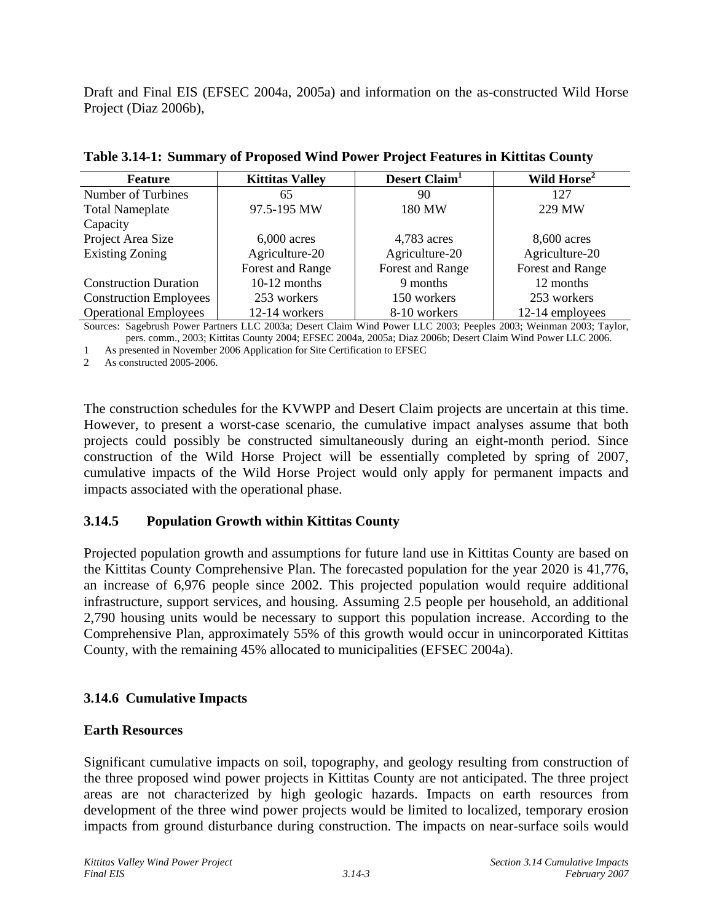Draft and Final EIS (EFSEC 2004a, 2005a) and information on the as-constructed Wild Horse Project (Diaz 2006b),

| <b>Feature</b>                | <b>Kittitas Valley</b> | Desert Claim <sup>1</sup> | Wild Horse <sup>2</sup> |  |  |  |  |
|-------------------------------|------------------------|---------------------------|-------------------------|--|--|--|--|
| Number of Turbines            | 65                     | 90                        | 127                     |  |  |  |  |
| <b>Total Nameplate</b>        | 97.5-195 MW            | 180 MW                    | 229 MW                  |  |  |  |  |
| Capacity                      |                        |                           |                         |  |  |  |  |
| Project Area Size             | $6,000$ acres          | 4,783 acres               | 8,600 acres             |  |  |  |  |
| <b>Existing Zoning</b>        | Agriculture-20         |                           | Agriculture-20          |  |  |  |  |
|                               | Forest and Range       | Forest and Range          | Forest and Range        |  |  |  |  |
| <b>Construction Duration</b>  | $10-12$ months         | 9 months                  | 12 months               |  |  |  |  |
| <b>Construction Employees</b> | 253 workers            | 150 workers               | 253 workers             |  |  |  |  |
| <b>Operational Employees</b>  | 12-14 workers          | 8-10 workers              | 12-14 employees         |  |  |  |  |
|                               |                        |                           |                         |  |  |  |  |

Sources: Sagebrush Power Partners LLC 2003a; Desert Claim Wind Power LLC 2003; Peeples 2003; Weinman 2003; Taylor, pers. comm., 2003; Kittitas County 2004; EFSEC 2004a, 2005a; Diaz 2006b; Desert Claim Wind Power LLC 2006.

1 As presented in November 2006 Application for Site Certification to EFSEC

2 As constructed 2005-2006.

The construction schedules for the KVWPP and Desert Claim projects are uncertain at this time. However, to present a worst-case scenario, the cumulative impact analyses assume that both projects could possibly be constructed simultaneously during an eight-month period. Since construction of the Wild Horse Project will be essentially completed by spring of 2007, cumulative impacts of the Wild Horse Project would only apply for permanent impacts and impacts associated with the operational phase.

# **3.14.5 Population Growth within Kittitas County**

Projected population growth and assumptions for future land use in Kittitas County are based on the Kittitas County Comprehensive Plan. The forecasted population for the year 2020 is 41,776, an increase of 6,976 people since 2002. This projected population would require additional infrastructure, support services, and housing. Assuming 2.5 people per household, an additional 2,790 housing units would be necessary to support this population increase. According to the Comprehensive Plan, approximately 55% of this growth would occur in unincorporated Kittitas County, with the remaining 45% allocated to municipalities (EFSEC 2004a).

# **3.14.6 Cumulative Impacts**

# **Earth Resources**

Significant cumulative impacts on soil, topography, and geology resulting from construction of the three proposed wind power projects in Kittitas County are not anticipated. The three project areas are not characterized by high geologic hazards. Impacts on earth resources from development of the three wind power projects would be limited to localized, temporary erosion impacts from ground disturbance during construction. The impacts on near-surface soils would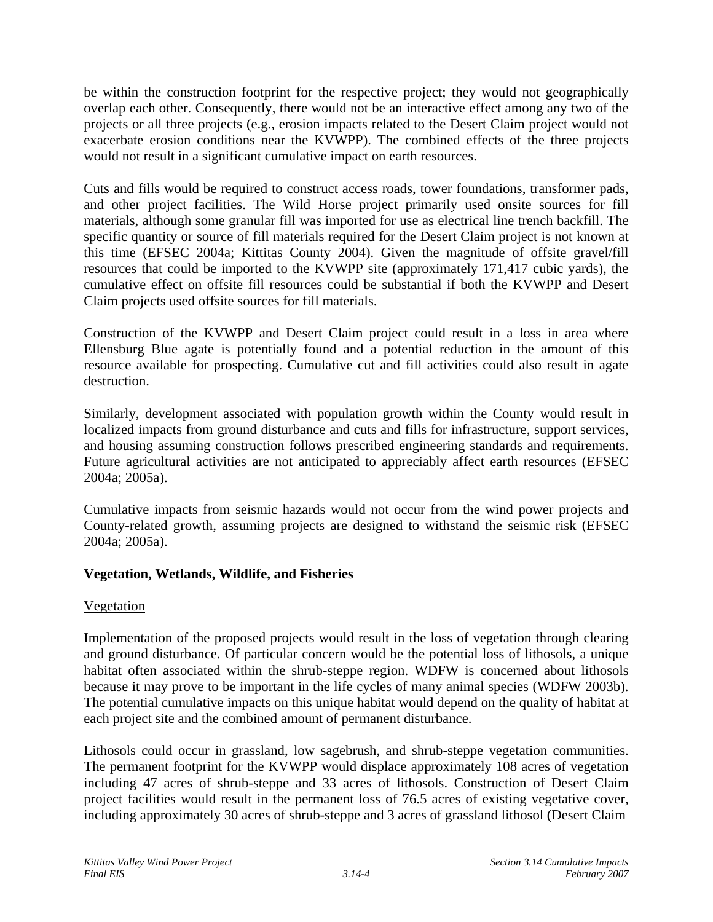be within the construction footprint for the respective project; they would not geographically overlap each other. Consequently, there would not be an interactive effect among any two of the projects or all three projects (e.g., erosion impacts related to the Desert Claim project would not exacerbate erosion conditions near the KVWPP). The combined effects of the three projects would not result in a significant cumulative impact on earth resources.

Cuts and fills would be required to construct access roads, tower foundations, transformer pads, and other project facilities. The Wild Horse project primarily used onsite sources for fill materials, although some granular fill was imported for use as electrical line trench backfill. The specific quantity or source of fill materials required for the Desert Claim project is not known at this time (EFSEC 2004a; Kittitas County 2004). Given the magnitude of offsite gravel/fill resources that could be imported to the KVWPP site (approximately 171,417 cubic yards), the cumulative effect on offsite fill resources could be substantial if both the KVWPP and Desert Claim projects used offsite sources for fill materials.

Construction of the KVWPP and Desert Claim project could result in a loss in area where Ellensburg Blue agate is potentially found and a potential reduction in the amount of this resource available for prospecting. Cumulative cut and fill activities could also result in agate destruction.

Similarly, development associated with population growth within the County would result in localized impacts from ground disturbance and cuts and fills for infrastructure, support services, and housing assuming construction follows prescribed engineering standards and requirements. Future agricultural activities are not anticipated to appreciably affect earth resources (EFSEC 2004a; 2005a).

Cumulative impacts from seismic hazards would not occur from the wind power projects and County-related growth, assuming projects are designed to withstand the seismic risk (EFSEC 2004a; 2005a).

# **Vegetation, Wetlands, Wildlife, and Fisheries**

# Vegetation

Implementation of the proposed projects would result in the loss of vegetation through clearing and ground disturbance. Of particular concern would be the potential loss of lithosols, a unique habitat often associated within the shrub-steppe region. WDFW is concerned about lithosols because it may prove to be important in the life cycles of many animal species (WDFW 2003b). The potential cumulative impacts on this unique habitat would depend on the quality of habitat at each project site and the combined amount of permanent disturbance.

Lithosols could occur in grassland, low sagebrush, and shrub-steppe vegetation communities. The permanent footprint for the KVWPP would displace approximately 108 acres of vegetation including 47 acres of shrub-steppe and 33 acres of lithosols. Construction of Desert Claim project facilities would result in the permanent loss of 76.5 acres of existing vegetative cover, including approximately 30 acres of shrub-steppe and 3 acres of grassland lithosol (Desert Claim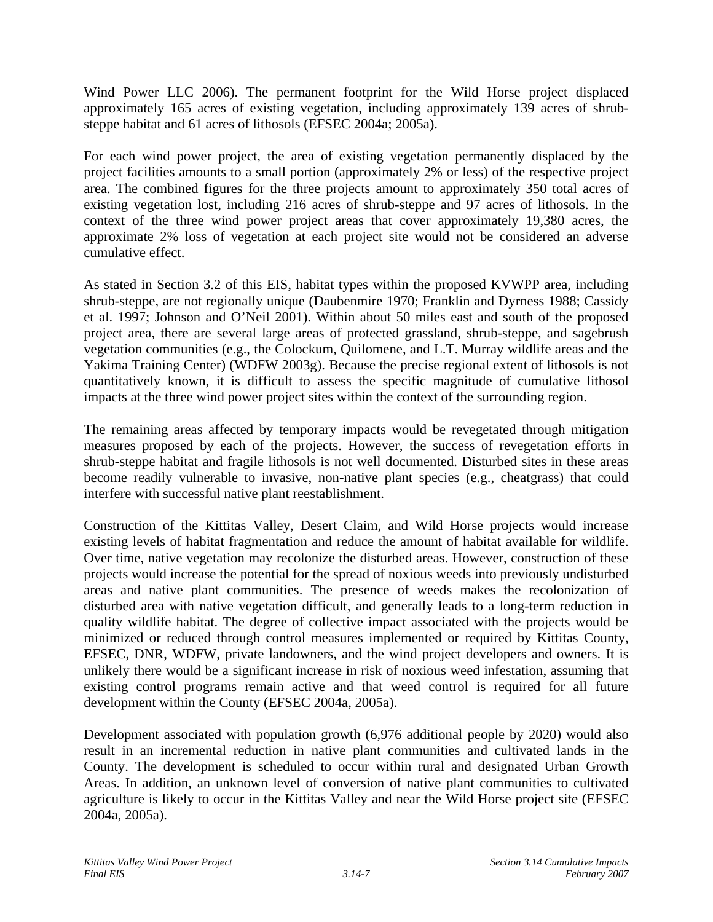Wind Power LLC 2006). The permanent footprint for the Wild Horse project displaced approximately 165 acres of existing vegetation, including approximately 139 acres of shrubsteppe habitat and 61 acres of lithosols (EFSEC 2004a; 2005a).

For each wind power project, the area of existing vegetation permanently displaced by the project facilities amounts to a small portion (approximately 2% or less) of the respective project area. The combined figures for the three projects amount to approximately 350 total acres of existing vegetation lost, including 216 acres of shrub-steppe and 97 acres of lithosols. In the context of the three wind power project areas that cover approximately 19,380 acres, the approximate 2% loss of vegetation at each project site would not be considered an adverse cumulative effect.

As stated in Section 3.2 of this EIS, habitat types within the proposed KVWPP area, including shrub-steppe, are not regionally unique (Daubenmire 1970; Franklin and Dyrness 1988; Cassidy et al. 1997; Johnson and O'Neil 2001). Within about 50 miles east and south of the proposed project area, there are several large areas of protected grassland, shrub-steppe, and sagebrush vegetation communities (e.g., the Colockum, Quilomene, and L.T. Murray wildlife areas and the Yakima Training Center) (WDFW 2003g). Because the precise regional extent of lithosols is not quantitatively known, it is difficult to assess the specific magnitude of cumulative lithosol impacts at the three wind power project sites within the context of the surrounding region.

The remaining areas affected by temporary impacts would be revegetated through mitigation measures proposed by each of the projects. However, the success of revegetation efforts in shrub-steppe habitat and fragile lithosols is not well documented. Disturbed sites in these areas become readily vulnerable to invasive, non-native plant species (e.g., cheatgrass) that could interfere with successful native plant reestablishment.

Construction of the Kittitas Valley, Desert Claim, and Wild Horse projects would increase existing levels of habitat fragmentation and reduce the amount of habitat available for wildlife. Over time, native vegetation may recolonize the disturbed areas. However, construction of these projects would increase the potential for the spread of noxious weeds into previously undisturbed areas and native plant communities. The presence of weeds makes the recolonization of disturbed area with native vegetation difficult, and generally leads to a long-term reduction in quality wildlife habitat. The degree of collective impact associated with the projects would be minimized or reduced through control measures implemented or required by Kittitas County, EFSEC, DNR, WDFW, private landowners, and the wind project developers and owners. It is unlikely there would be a significant increase in risk of noxious weed infestation, assuming that existing control programs remain active and that weed control is required for all future development within the County (EFSEC 2004a, 2005a).

Development associated with population growth (6,976 additional people by 2020) would also result in an incremental reduction in native plant communities and cultivated lands in the County. The development is scheduled to occur within rural and designated Urban Growth Areas. In addition, an unknown level of conversion of native plant communities to cultivated agriculture is likely to occur in the Kittitas Valley and near the Wild Horse project site (EFSEC 2004a, 2005a).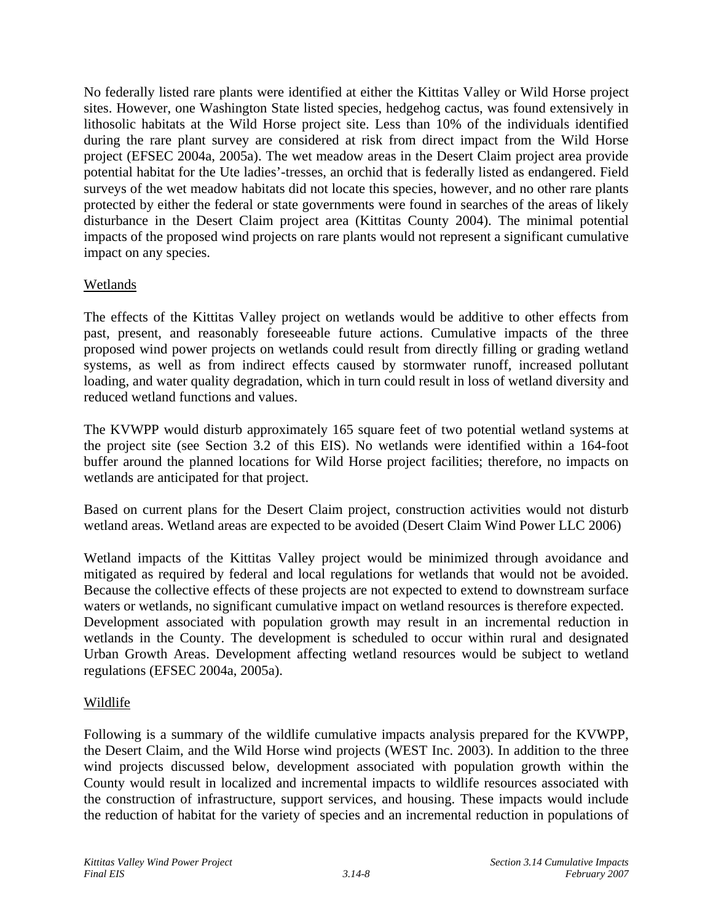No federally listed rare plants were identified at either the Kittitas Valley or Wild Horse project sites. However, one Washington State listed species, hedgehog cactus, was found extensively in lithosolic habitats at the Wild Horse project site. Less than 10% of the individuals identified during the rare plant survey are considered at risk from direct impact from the Wild Horse project (EFSEC 2004a, 2005a). The wet meadow areas in the Desert Claim project area provide potential habitat for the Ute ladies'-tresses, an orchid that is federally listed as endangered. Field surveys of the wet meadow habitats did not locate this species, however, and no other rare plants protected by either the federal or state governments were found in searches of the areas of likely disturbance in the Desert Claim project area (Kittitas County 2004). The minimal potential impacts of the proposed wind projects on rare plants would not represent a significant cumulative impact on any species.

# Wetlands

The effects of the Kittitas Valley project on wetlands would be additive to other effects from past, present, and reasonably foreseeable future actions. Cumulative impacts of the three proposed wind power projects on wetlands could result from directly filling or grading wetland systems, as well as from indirect effects caused by stormwater runoff, increased pollutant loading, and water quality degradation, which in turn could result in loss of wetland diversity and reduced wetland functions and values.

The KVWPP would disturb approximately 165 square feet of two potential wetland systems at the project site (see Section 3.2 of this EIS). No wetlands were identified within a 164-foot buffer around the planned locations for Wild Horse project facilities; therefore, no impacts on wetlands are anticipated for that project.

Based on current plans for the Desert Claim project, construction activities would not disturb wetland areas. Wetland areas are expected to be avoided (Desert Claim Wind Power LLC 2006)

Wetland impacts of the Kittitas Valley project would be minimized through avoidance and mitigated as required by federal and local regulations for wetlands that would not be avoided. Because the collective effects of these projects are not expected to extend to downstream surface waters or wetlands, no significant cumulative impact on wetland resources is therefore expected. Development associated with population growth may result in an incremental reduction in wetlands in the County. The development is scheduled to occur within rural and designated Urban Growth Areas. Development affecting wetland resources would be subject to wetland regulations (EFSEC 2004a, 2005a).

# Wildlife

Following is a summary of the wildlife cumulative impacts analysis prepared for the KVWPP, the Desert Claim, and the Wild Horse wind projects (WEST Inc. 2003). In addition to the three wind projects discussed below, development associated with population growth within the County would result in localized and incremental impacts to wildlife resources associated with the construction of infrastructure, support services, and housing. These impacts would include the reduction of habitat for the variety of species and an incremental reduction in populations of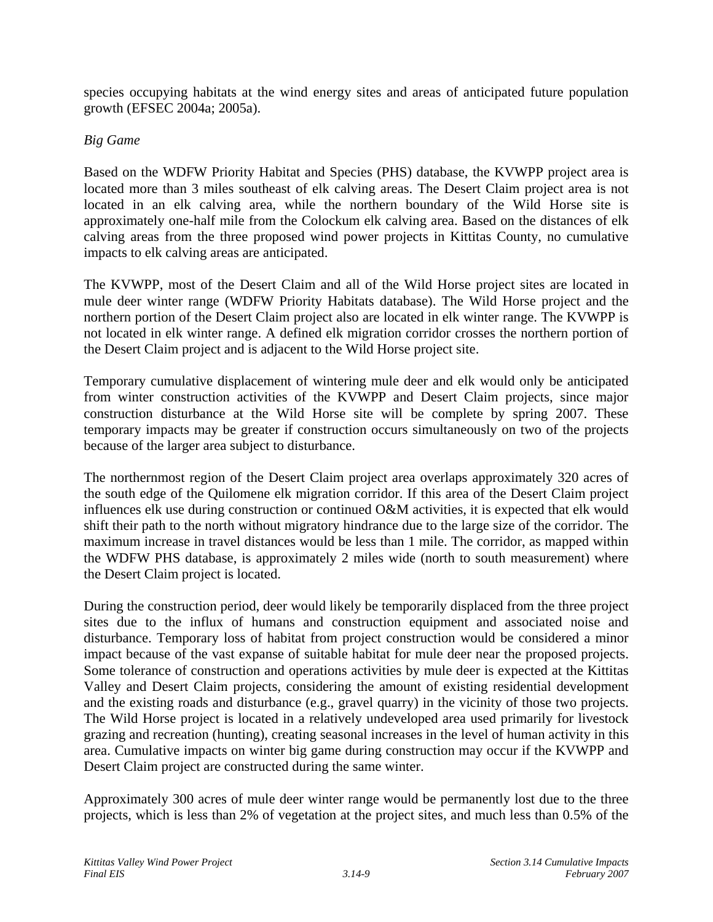species occupying habitats at the wind energy sites and areas of anticipated future population growth (EFSEC 2004a; 2005a).

### *Big Game*

Based on the WDFW Priority Habitat and Species (PHS) database, the KVWPP project area is located more than 3 miles southeast of elk calving areas. The Desert Claim project area is not located in an elk calving area, while the northern boundary of the Wild Horse site is approximately one-half mile from the Colockum elk calving area. Based on the distances of elk calving areas from the three proposed wind power projects in Kittitas County, no cumulative impacts to elk calving areas are anticipated.

The KVWPP, most of the Desert Claim and all of the Wild Horse project sites are located in mule deer winter range (WDFW Priority Habitats database). The Wild Horse project and the northern portion of the Desert Claim project also are located in elk winter range. The KVWPP is not located in elk winter range. A defined elk migration corridor crosses the northern portion of the Desert Claim project and is adjacent to the Wild Horse project site.

Temporary cumulative displacement of wintering mule deer and elk would only be anticipated from winter construction activities of the KVWPP and Desert Claim projects, since major construction disturbance at the Wild Horse site will be complete by spring 2007. These temporary impacts may be greater if construction occurs simultaneously on two of the projects because of the larger area subject to disturbance.

The northernmost region of the Desert Claim project area overlaps approximately 320 acres of the south edge of the Quilomene elk migration corridor. If this area of the Desert Claim project influences elk use during construction or continued O&M activities, it is expected that elk would shift their path to the north without migratory hindrance due to the large size of the corridor. The maximum increase in travel distances would be less than 1 mile. The corridor, as mapped within the WDFW PHS database, is approximately 2 miles wide (north to south measurement) where the Desert Claim project is located.

During the construction period, deer would likely be temporarily displaced from the three project sites due to the influx of humans and construction equipment and associated noise and disturbance. Temporary loss of habitat from project construction would be considered a minor impact because of the vast expanse of suitable habitat for mule deer near the proposed projects. Some tolerance of construction and operations activities by mule deer is expected at the Kittitas Valley and Desert Claim projects, considering the amount of existing residential development and the existing roads and disturbance (e.g., gravel quarry) in the vicinity of those two projects. The Wild Horse project is located in a relatively undeveloped area used primarily for livestock grazing and recreation (hunting), creating seasonal increases in the level of human activity in this area. Cumulative impacts on winter big game during construction may occur if the KVWPP and Desert Claim project are constructed during the same winter.

Approximately 300 acres of mule deer winter range would be permanently lost due to the three projects, which is less than 2% of vegetation at the project sites, and much less than 0.5% of the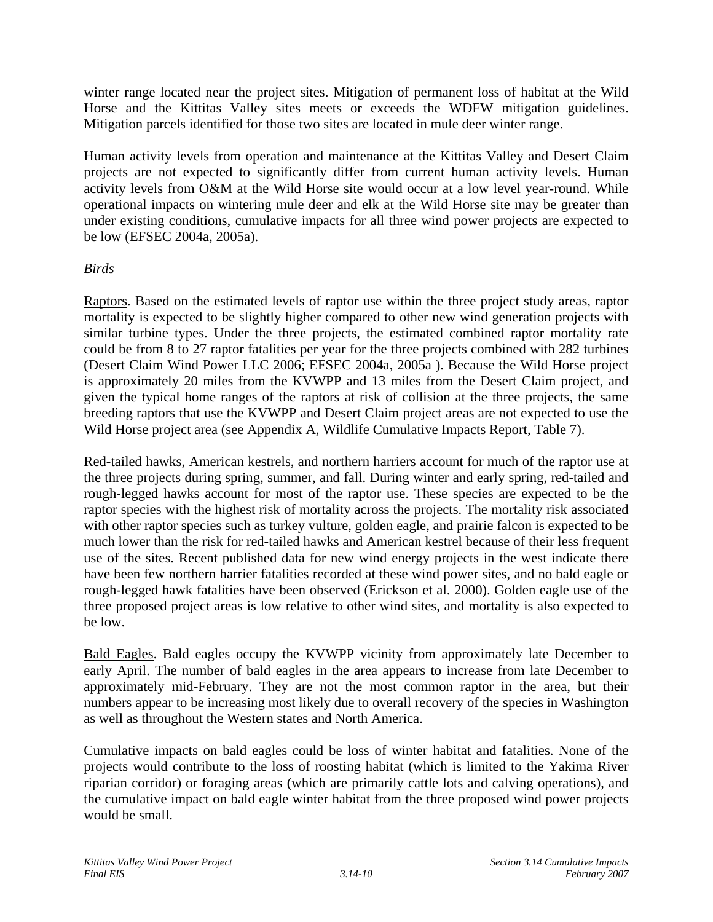winter range located near the project sites. Mitigation of permanent loss of habitat at the Wild Horse and the Kittitas Valley sites meets or exceeds the WDFW mitigation guidelines. Mitigation parcels identified for those two sites are located in mule deer winter range.

Human activity levels from operation and maintenance at the Kittitas Valley and Desert Claim projects are not expected to significantly differ from current human activity levels. Human activity levels from O&M at the Wild Horse site would occur at a low level year-round. While operational impacts on wintering mule deer and elk at the Wild Horse site may be greater than under existing conditions, cumulative impacts for all three wind power projects are expected to be low (EFSEC 2004a, 2005a).

# *Birds*

Raptors. Based on the estimated levels of raptor use within the three project study areas, raptor mortality is expected to be slightly higher compared to other new wind generation projects with similar turbine types. Under the three projects, the estimated combined raptor mortality rate could be from 8 to 27 raptor fatalities per year for the three projects combined with 282 turbines (Desert Claim Wind Power LLC 2006; EFSEC 2004a, 2005a ). Because the Wild Horse project is approximately 20 miles from the KVWPP and 13 miles from the Desert Claim project, and given the typical home ranges of the raptors at risk of collision at the three projects, the same breeding raptors that use the KVWPP and Desert Claim project areas are not expected to use the Wild Horse project area (see Appendix A, Wildlife Cumulative Impacts Report, Table 7).

Red-tailed hawks, American kestrels, and northern harriers account for much of the raptor use at the three projects during spring, summer, and fall. During winter and early spring, red-tailed and rough-legged hawks account for most of the raptor use. These species are expected to be the raptor species with the highest risk of mortality across the projects. The mortality risk associated with other raptor species such as turkey vulture, golden eagle, and prairie falcon is expected to be much lower than the risk for red-tailed hawks and American kestrel because of their less frequent use of the sites. Recent published data for new wind energy projects in the west indicate there have been few northern harrier fatalities recorded at these wind power sites, and no bald eagle or rough-legged hawk fatalities have been observed (Erickson et al. 2000). Golden eagle use of the three proposed project areas is low relative to other wind sites, and mortality is also expected to be low.

Bald Eagles. Bald eagles occupy the KVWPP vicinity from approximately late December to early April. The number of bald eagles in the area appears to increase from late December to approximately mid-February. They are not the most common raptor in the area, but their numbers appear to be increasing most likely due to overall recovery of the species in Washington as well as throughout the Western states and North America.

Cumulative impacts on bald eagles could be loss of winter habitat and fatalities. None of the projects would contribute to the loss of roosting habitat (which is limited to the Yakima River riparian corridor) or foraging areas (which are primarily cattle lots and calving operations), and the cumulative impact on bald eagle winter habitat from the three proposed wind power projects would be small.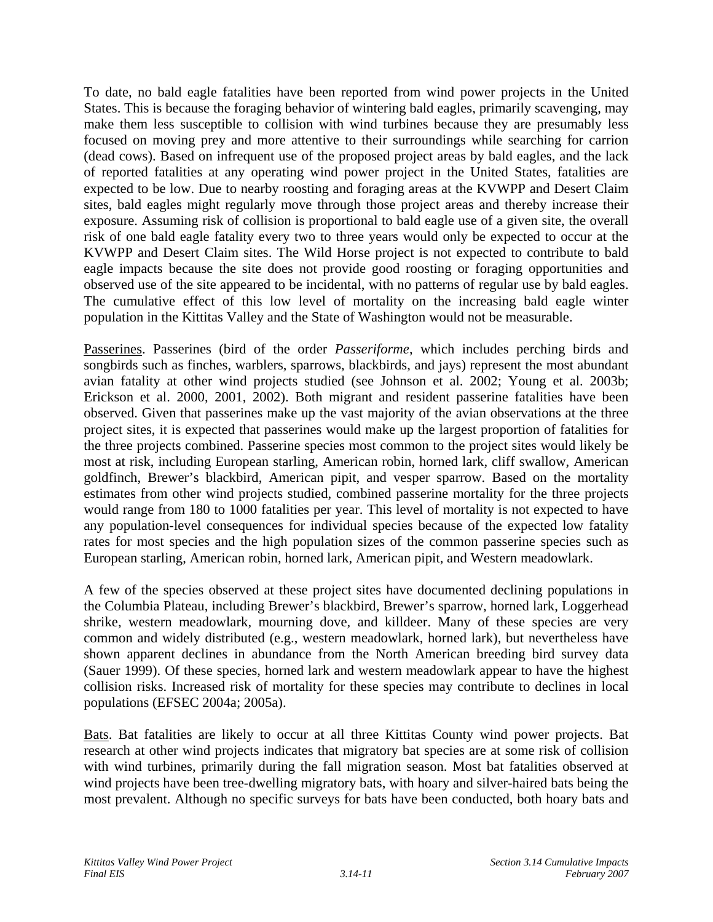To date, no bald eagle fatalities have been reported from wind power projects in the United States. This is because the foraging behavior of wintering bald eagles, primarily scavenging, may make them less susceptible to collision with wind turbines because they are presumably less focused on moving prey and more attentive to their surroundings while searching for carrion (dead cows). Based on infrequent use of the proposed project areas by bald eagles, and the lack of reported fatalities at any operating wind power project in the United States, fatalities are expected to be low. Due to nearby roosting and foraging areas at the KVWPP and Desert Claim sites, bald eagles might regularly move through those project areas and thereby increase their exposure. Assuming risk of collision is proportional to bald eagle use of a given site, the overall risk of one bald eagle fatality every two to three years would only be expected to occur at the KVWPP and Desert Claim sites. The Wild Horse project is not expected to contribute to bald eagle impacts because the site does not provide good roosting or foraging opportunities and observed use of the site appeared to be incidental, with no patterns of regular use by bald eagles. The cumulative effect of this low level of mortality on the increasing bald eagle winter population in the Kittitas Valley and the State of Washington would not be measurable.

Passerines. Passerines (bird of the order *Passeriforme*, which includes perching birds and songbirds such as finches, warblers, sparrows, blackbirds, and jays) represent the most abundant avian fatality at other wind projects studied (see Johnson et al. 2002; Young et al. 2003b; Erickson et al. 2000, 2001, 2002). Both migrant and resident passerine fatalities have been observed. Given that passerines make up the vast majority of the avian observations at the three project sites, it is expected that passerines would make up the largest proportion of fatalities for the three projects combined. Passerine species most common to the project sites would likely be most at risk, including European starling, American robin, horned lark, cliff swallow, American goldfinch, Brewer's blackbird, American pipit, and vesper sparrow. Based on the mortality estimates from other wind projects studied, combined passerine mortality for the three projects would range from 180 to 1000 fatalities per year. This level of mortality is not expected to have any population-level consequences for individual species because of the expected low fatality rates for most species and the high population sizes of the common passerine species such as European starling, American robin, horned lark, American pipit, and Western meadowlark.

A few of the species observed at these project sites have documented declining populations in the Columbia Plateau, including Brewer's blackbird, Brewer's sparrow, horned lark, Loggerhead shrike, western meadowlark, mourning dove, and killdeer. Many of these species are very common and widely distributed (e.g., western meadowlark, horned lark), but nevertheless have shown apparent declines in abundance from the North American breeding bird survey data (Sauer 1999). Of these species, horned lark and western meadowlark appear to have the highest collision risks. Increased risk of mortality for these species may contribute to declines in local populations (EFSEC 2004a; 2005a).

Bats. Bat fatalities are likely to occur at all three Kittitas County wind power projects. Bat research at other wind projects indicates that migratory bat species are at some risk of collision with wind turbines, primarily during the fall migration season. Most bat fatalities observed at wind projects have been tree-dwelling migratory bats, with hoary and silver-haired bats being the most prevalent. Although no specific surveys for bats have been conducted, both hoary bats and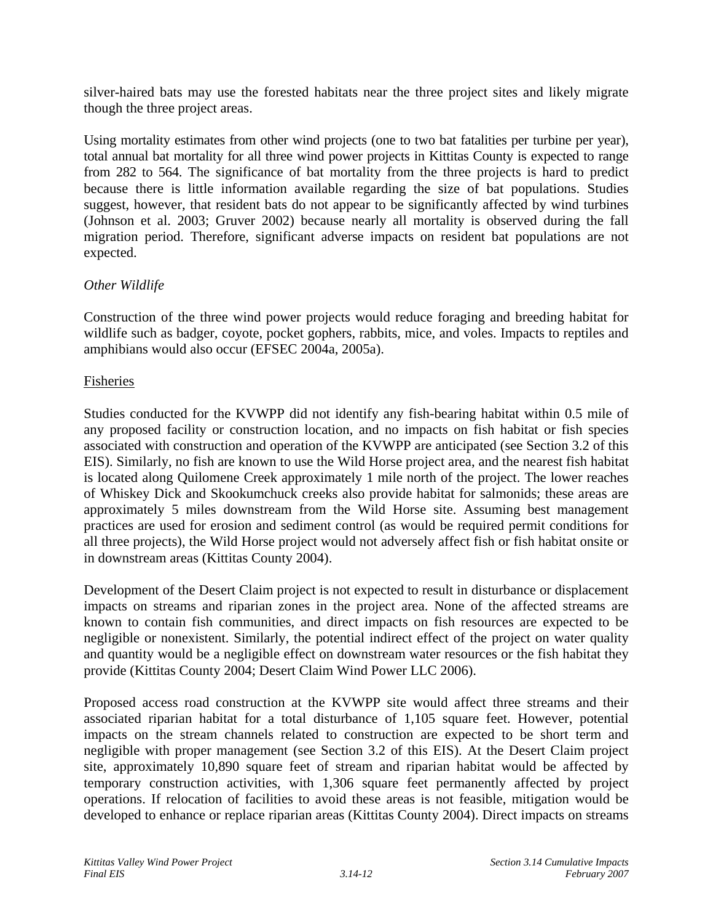silver-haired bats may use the forested habitats near the three project sites and likely migrate though the three project areas.

Using mortality estimates from other wind projects (one to two bat fatalities per turbine per year), total annual bat mortality for all three wind power projects in Kittitas County is expected to range from 282 to 564. The significance of bat mortality from the three projects is hard to predict because there is little information available regarding the size of bat populations. Studies suggest, however, that resident bats do not appear to be significantly affected by wind turbines (Johnson et al. 2003; Gruver 2002) because nearly all mortality is observed during the fall migration period. Therefore, significant adverse impacts on resident bat populations are not expected.

# *Other Wildlife*

Construction of the three wind power projects would reduce foraging and breeding habitat for wildlife such as badger, coyote, pocket gophers, rabbits, mice, and voles. Impacts to reptiles and amphibians would also occur (EFSEC 2004a, 2005a).

### Fisheries

Studies conducted for the KVWPP did not identify any fish-bearing habitat within 0.5 mile of any proposed facility or construction location, and no impacts on fish habitat or fish species associated with construction and operation of the KVWPP are anticipated (see Section 3.2 of this EIS). Similarly, no fish are known to use the Wild Horse project area, and the nearest fish habitat is located along Quilomene Creek approximately 1 mile north of the project. The lower reaches of Whiskey Dick and Skookumchuck creeks also provide habitat for salmonids; these areas are approximately 5 miles downstream from the Wild Horse site. Assuming best management practices are used for erosion and sediment control (as would be required permit conditions for all three projects), the Wild Horse project would not adversely affect fish or fish habitat onsite or in downstream areas (Kittitas County 2004).

Development of the Desert Claim project is not expected to result in disturbance or displacement impacts on streams and riparian zones in the project area. None of the affected streams are known to contain fish communities, and direct impacts on fish resources are expected to be negligible or nonexistent. Similarly, the potential indirect effect of the project on water quality and quantity would be a negligible effect on downstream water resources or the fish habitat they provide (Kittitas County 2004; Desert Claim Wind Power LLC 2006).

Proposed access road construction at the KVWPP site would affect three streams and their associated riparian habitat for a total disturbance of 1,105 square feet. However, potential impacts on the stream channels related to construction are expected to be short term and negligible with proper management (see Section 3.2 of this EIS). At the Desert Claim project site, approximately 10,890 square feet of stream and riparian habitat would be affected by temporary construction activities, with 1,306 square feet permanently affected by project operations. If relocation of facilities to avoid these areas is not feasible, mitigation would be developed to enhance or replace riparian areas (Kittitas County 2004). Direct impacts on streams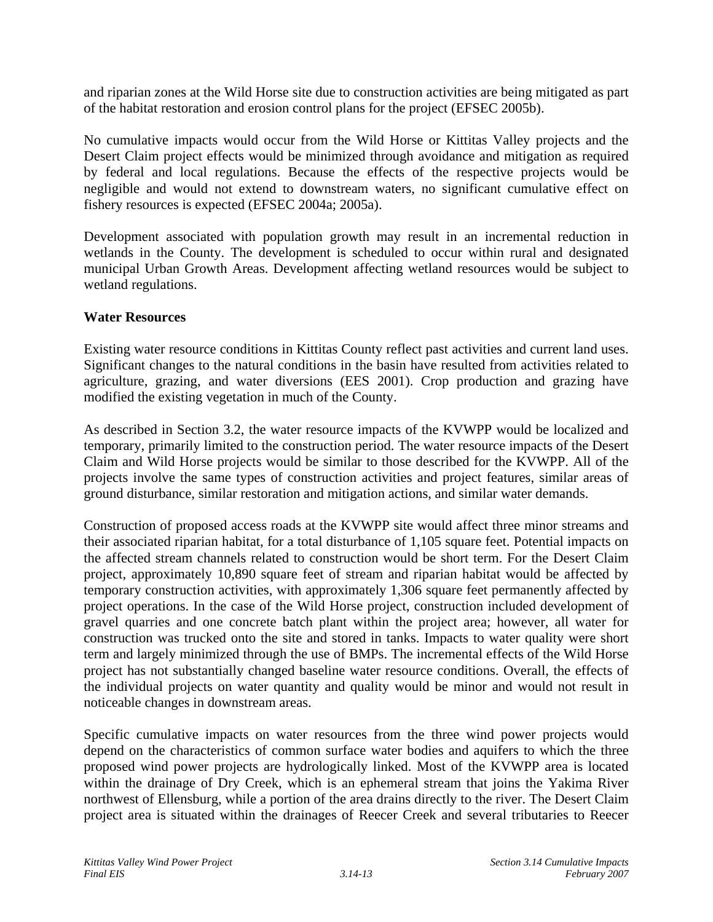and riparian zones at the Wild Horse site due to construction activities are being mitigated as part of the habitat restoration and erosion control plans for the project (EFSEC 2005b).

No cumulative impacts would occur from the Wild Horse or Kittitas Valley projects and the Desert Claim project effects would be minimized through avoidance and mitigation as required by federal and local regulations. Because the effects of the respective projects would be negligible and would not extend to downstream waters, no significant cumulative effect on fishery resources is expected (EFSEC 2004a; 2005a).

Development associated with population growth may result in an incremental reduction in wetlands in the County. The development is scheduled to occur within rural and designated municipal Urban Growth Areas. Development affecting wetland resources would be subject to wetland regulations.

### **Water Resources**

Existing water resource conditions in Kittitas County reflect past activities and current land uses. Significant changes to the natural conditions in the basin have resulted from activities related to agriculture, grazing, and water diversions (EES 2001). Crop production and grazing have modified the existing vegetation in much of the County.

As described in Section 3.2, the water resource impacts of the KVWPP would be localized and temporary, primarily limited to the construction period. The water resource impacts of the Desert Claim and Wild Horse projects would be similar to those described for the KVWPP. All of the projects involve the same types of construction activities and project features, similar areas of ground disturbance, similar restoration and mitigation actions, and similar water demands.

Construction of proposed access roads at the KVWPP site would affect three minor streams and their associated riparian habitat, for a total disturbance of 1,105 square feet. Potential impacts on the affected stream channels related to construction would be short term. For the Desert Claim project, approximately 10,890 square feet of stream and riparian habitat would be affected by temporary construction activities, with approximately 1,306 square feet permanently affected by project operations. In the case of the Wild Horse project, construction included development of gravel quarries and one concrete batch plant within the project area; however, all water for construction was trucked onto the site and stored in tanks. Impacts to water quality were short term and largely minimized through the use of BMPs. The incremental effects of the Wild Horse project has not substantially changed baseline water resource conditions. Overall, the effects of the individual projects on water quantity and quality would be minor and would not result in noticeable changes in downstream areas.

Specific cumulative impacts on water resources from the three wind power projects would depend on the characteristics of common surface water bodies and aquifers to which the three proposed wind power projects are hydrologically linked. Most of the KVWPP area is located within the drainage of Dry Creek, which is an ephemeral stream that joins the Yakima River northwest of Ellensburg, while a portion of the area drains directly to the river. The Desert Claim project area is situated within the drainages of Reecer Creek and several tributaries to Reecer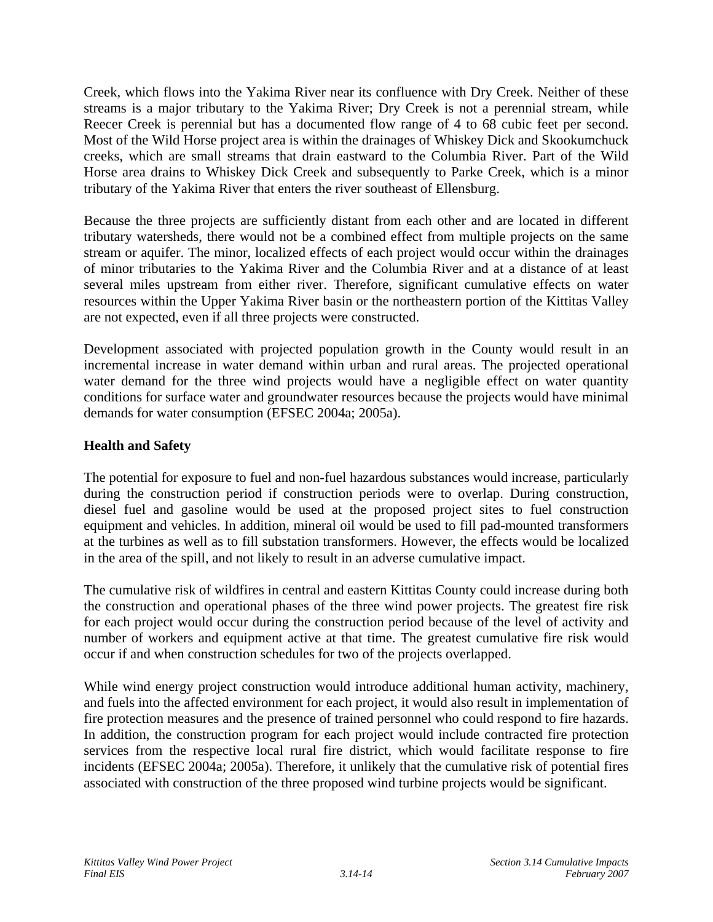Creek, which flows into the Yakima River near its confluence with Dry Creek. Neither of these streams is a major tributary to the Yakima River; Dry Creek is not a perennial stream, while Reecer Creek is perennial but has a documented flow range of 4 to 68 cubic feet per second. Most of the Wild Horse project area is within the drainages of Whiskey Dick and Skookumchuck creeks, which are small streams that drain eastward to the Columbia River. Part of the Wild Horse area drains to Whiskey Dick Creek and subsequently to Parke Creek, which is a minor tributary of the Yakima River that enters the river southeast of Ellensburg.

Because the three projects are sufficiently distant from each other and are located in different tributary watersheds, there would not be a combined effect from multiple projects on the same stream or aquifer. The minor, localized effects of each project would occur within the drainages of minor tributaries to the Yakima River and the Columbia River and at a distance of at least several miles upstream from either river. Therefore, significant cumulative effects on water resources within the Upper Yakima River basin or the northeastern portion of the Kittitas Valley are not expected, even if all three projects were constructed.

Development associated with projected population growth in the County would result in an incremental increase in water demand within urban and rural areas. The projected operational water demand for the three wind projects would have a negligible effect on water quantity conditions for surface water and groundwater resources because the projects would have minimal demands for water consumption (EFSEC 2004a; 2005a).

# **Health and Safety**

The potential for exposure to fuel and non-fuel hazardous substances would increase, particularly during the construction period if construction periods were to overlap. During construction, diesel fuel and gasoline would be used at the proposed project sites to fuel construction equipment and vehicles. In addition, mineral oil would be used to fill pad-mounted transformers at the turbines as well as to fill substation transformers. However, the effects would be localized in the area of the spill, and not likely to result in an adverse cumulative impact.

The cumulative risk of wildfires in central and eastern Kittitas County could increase during both the construction and operational phases of the three wind power projects. The greatest fire risk for each project would occur during the construction period because of the level of activity and number of workers and equipment active at that time. The greatest cumulative fire risk would occur if and when construction schedules for two of the projects overlapped.

While wind energy project construction would introduce additional human activity, machinery, and fuels into the affected environment for each project, it would also result in implementation of fire protection measures and the presence of trained personnel who could respond to fire hazards. In addition, the construction program for each project would include contracted fire protection services from the respective local rural fire district, which would facilitate response to fire incidents (EFSEC 2004a; 2005a). Therefore, it unlikely that the cumulative risk of potential fires associated with construction of the three proposed wind turbine projects would be significant.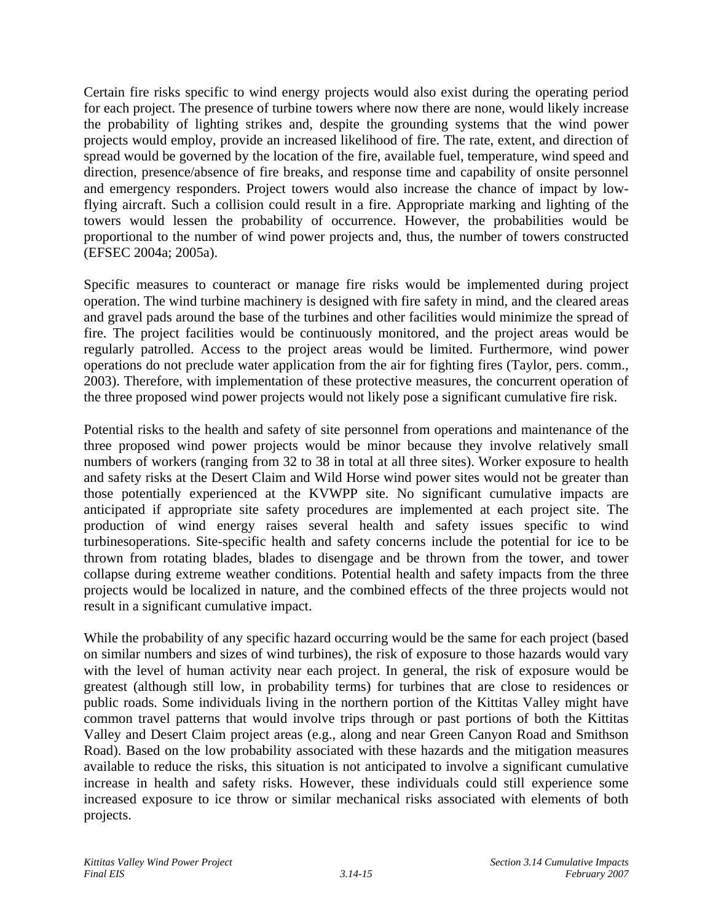Certain fire risks specific to wind energy projects would also exist during the operating period for each project. The presence of turbine towers where now there are none, would likely increase the probability of lighting strikes and, despite the grounding systems that the wind power projects would employ, provide an increased likelihood of fire. The rate, extent, and direction of spread would be governed by the location of the fire, available fuel, temperature, wind speed and direction, presence/absence of fire breaks, and response time and capability of onsite personnel and emergency responders. Project towers would also increase the chance of impact by lowflying aircraft. Such a collision could result in a fire. Appropriate marking and lighting of the towers would lessen the probability of occurrence. However, the probabilities would be proportional to the number of wind power projects and, thus, the number of towers constructed (EFSEC 2004a; 2005a).

Specific measures to counteract or manage fire risks would be implemented during project operation. The wind turbine machinery is designed with fire safety in mind, and the cleared areas and gravel pads around the base of the turbines and other facilities would minimize the spread of fire. The project facilities would be continuously monitored, and the project areas would be regularly patrolled. Access to the project areas would be limited. Furthermore, wind power operations do not preclude water application from the air for fighting fires (Taylor, pers. comm., 2003). Therefore, with implementation of these protective measures, the concurrent operation of the three proposed wind power projects would not likely pose a significant cumulative fire risk.

Potential risks to the health and safety of site personnel from operations and maintenance of the three proposed wind power projects would be minor because they involve relatively small numbers of workers (ranging from 32 to 38 in total at all three sites). Worker exposure to health and safety risks at the Desert Claim and Wild Horse wind power sites would not be greater than those potentially experienced at the KVWPP site. No significant cumulative impacts are anticipated if appropriate site safety procedures are implemented at each project site. The production of wind energy raises several health and safety issues specific to wind turbinesoperations. Site-specific health and safety concerns include the potential for ice to be thrown from rotating blades, blades to disengage and be thrown from the tower, and tower collapse during extreme weather conditions. Potential health and safety impacts from the three projects would be localized in nature, and the combined effects of the three projects would not result in a significant cumulative impact.

While the probability of any specific hazard occurring would be the same for each project (based on similar numbers and sizes of wind turbines), the risk of exposure to those hazards would vary with the level of human activity near each project. In general, the risk of exposure would be greatest (although still low, in probability terms) for turbines that are close to residences or public roads. Some individuals living in the northern portion of the Kittitas Valley might have common travel patterns that would involve trips through or past portions of both the Kittitas Valley and Desert Claim project areas (e.g., along and near Green Canyon Road and Smithson Road). Based on the low probability associated with these hazards and the mitigation measures available to reduce the risks, this situation is not anticipated to involve a significant cumulative increase in health and safety risks. However, these individuals could still experience some increased exposure to ice throw or similar mechanical risks associated with elements of both projects.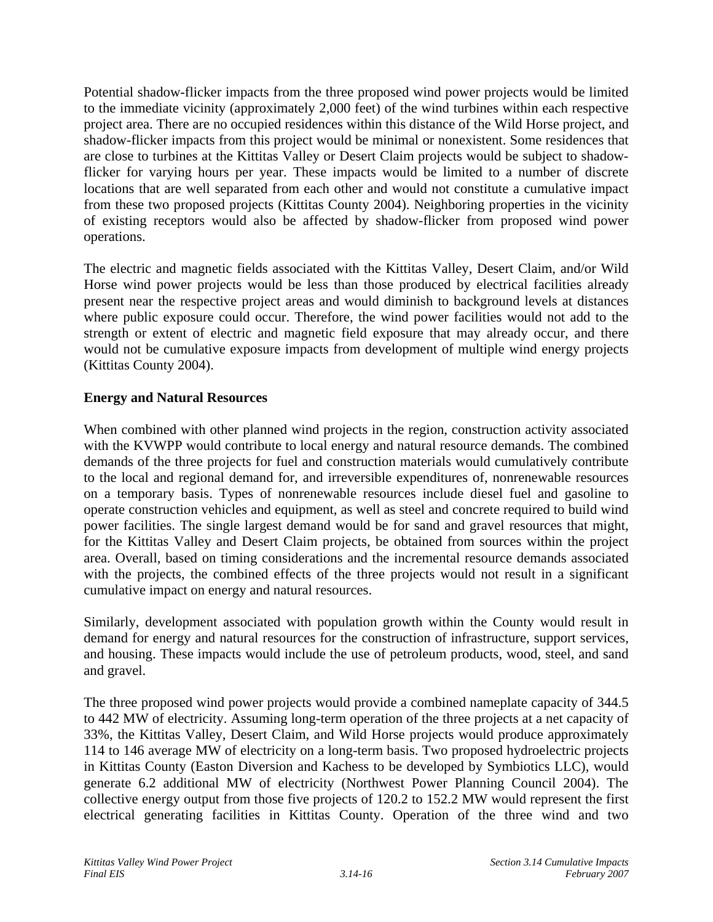Potential shadow-flicker impacts from the three proposed wind power projects would be limited to the immediate vicinity (approximately 2,000 feet) of the wind turbines within each respective project area. There are no occupied residences within this distance of the Wild Horse project, and shadow-flicker impacts from this project would be minimal or nonexistent. Some residences that are close to turbines at the Kittitas Valley or Desert Claim projects would be subject to shadowflicker for varying hours per year. These impacts would be limited to a number of discrete locations that are well separated from each other and would not constitute a cumulative impact from these two proposed projects (Kittitas County 2004). Neighboring properties in the vicinity of existing receptors would also be affected by shadow-flicker from proposed wind power operations.

The electric and magnetic fields associated with the Kittitas Valley, Desert Claim, and/or Wild Horse wind power projects would be less than those produced by electrical facilities already present near the respective project areas and would diminish to background levels at distances where public exposure could occur. Therefore, the wind power facilities would not add to the strength or extent of electric and magnetic field exposure that may already occur, and there would not be cumulative exposure impacts from development of multiple wind energy projects (Kittitas County 2004).

# **Energy and Natural Resources**

When combined with other planned wind projects in the region, construction activity associated with the KVWPP would contribute to local energy and natural resource demands. The combined demands of the three projects for fuel and construction materials would cumulatively contribute to the local and regional demand for, and irreversible expenditures of, nonrenewable resources on a temporary basis. Types of nonrenewable resources include diesel fuel and gasoline to operate construction vehicles and equipment, as well as steel and concrete required to build wind power facilities. The single largest demand would be for sand and gravel resources that might, for the Kittitas Valley and Desert Claim projects, be obtained from sources within the project area. Overall, based on timing considerations and the incremental resource demands associated with the projects, the combined effects of the three projects would not result in a significant cumulative impact on energy and natural resources.

Similarly, development associated with population growth within the County would result in demand for energy and natural resources for the construction of infrastructure, support services, and housing. These impacts would include the use of petroleum products, wood, steel, and sand and gravel.

The three proposed wind power projects would provide a combined nameplate capacity of 344.5 to 442 MW of electricity. Assuming long-term operation of the three projects at a net capacity of 33%, the Kittitas Valley, Desert Claim, and Wild Horse projects would produce approximately 114 to 146 average MW of electricity on a long-term basis. Two proposed hydroelectric projects in Kittitas County (Easton Diversion and Kachess to be developed by Symbiotics LLC), would generate 6.2 additional MW of electricity (Northwest Power Planning Council 2004). The collective energy output from those five projects of 120.2 to 152.2 MW would represent the first electrical generating facilities in Kittitas County. Operation of the three wind and two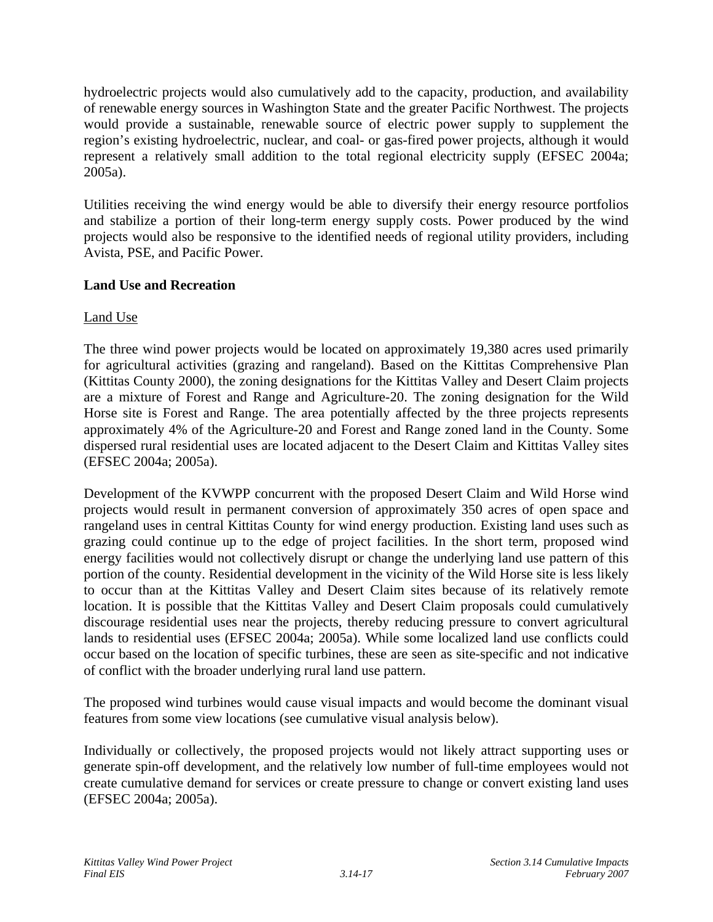hydroelectric projects would also cumulatively add to the capacity, production, and availability of renewable energy sources in Washington State and the greater Pacific Northwest. The projects would provide a sustainable, renewable source of electric power supply to supplement the region's existing hydroelectric, nuclear, and coal- or gas-fired power projects, although it would represent a relatively small addition to the total regional electricity supply (EFSEC 2004a; 2005a).

Utilities receiving the wind energy would be able to diversify their energy resource portfolios and stabilize a portion of their long-term energy supply costs. Power produced by the wind projects would also be responsive to the identified needs of regional utility providers, including Avista, PSE, and Pacific Power.

# **Land Use and Recreation**

# Land Use

The three wind power projects would be located on approximately 19,380 acres used primarily for agricultural activities (grazing and rangeland). Based on the Kittitas Comprehensive Plan (Kittitas County 2000), the zoning designations for the Kittitas Valley and Desert Claim projects are a mixture of Forest and Range and Agriculture-20. The zoning designation for the Wild Horse site is Forest and Range. The area potentially affected by the three projects represents approximately 4% of the Agriculture-20 and Forest and Range zoned land in the County. Some dispersed rural residential uses are located adjacent to the Desert Claim and Kittitas Valley sites (EFSEC 2004a; 2005a).

Development of the KVWPP concurrent with the proposed Desert Claim and Wild Horse wind projects would result in permanent conversion of approximately 350 acres of open space and rangeland uses in central Kittitas County for wind energy production. Existing land uses such as grazing could continue up to the edge of project facilities. In the short term, proposed wind energy facilities would not collectively disrupt or change the underlying land use pattern of this portion of the county. Residential development in the vicinity of the Wild Horse site is less likely to occur than at the Kittitas Valley and Desert Claim sites because of its relatively remote location. It is possible that the Kittitas Valley and Desert Claim proposals could cumulatively discourage residential uses near the projects, thereby reducing pressure to convert agricultural lands to residential uses (EFSEC 2004a; 2005a). While some localized land use conflicts could occur based on the location of specific turbines, these are seen as site-specific and not indicative of conflict with the broader underlying rural land use pattern.

The proposed wind turbines would cause visual impacts and would become the dominant visual features from some view locations (see cumulative visual analysis below).

Individually or collectively, the proposed projects would not likely attract supporting uses or generate spin-off development, and the relatively low number of full-time employees would not create cumulative demand for services or create pressure to change or convert existing land uses (EFSEC 2004a; 2005a).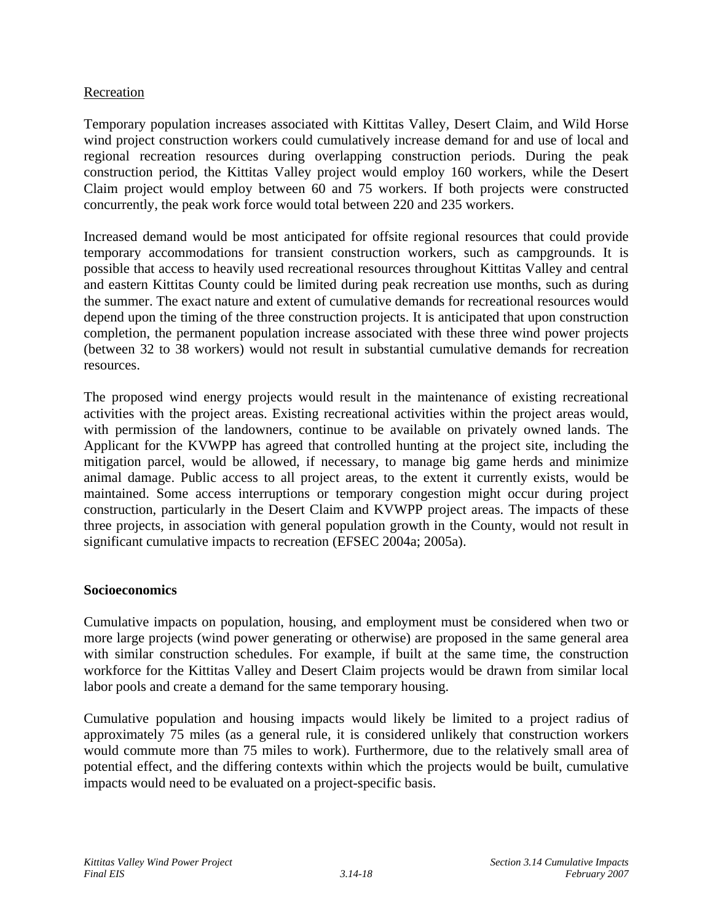### Recreation

Temporary population increases associated with Kittitas Valley, Desert Claim, and Wild Horse wind project construction workers could cumulatively increase demand for and use of local and regional recreation resources during overlapping construction periods. During the peak construction period, the Kittitas Valley project would employ 160 workers, while the Desert Claim project would employ between 60 and 75 workers. If both projects were constructed concurrently, the peak work force would total between 220 and 235 workers.

Increased demand would be most anticipated for offsite regional resources that could provide temporary accommodations for transient construction workers, such as campgrounds. It is possible that access to heavily used recreational resources throughout Kittitas Valley and central and eastern Kittitas County could be limited during peak recreation use months, such as during the summer. The exact nature and extent of cumulative demands for recreational resources would depend upon the timing of the three construction projects. It is anticipated that upon construction completion, the permanent population increase associated with these three wind power projects (between 32 to 38 workers) would not result in substantial cumulative demands for recreation resources.

The proposed wind energy projects would result in the maintenance of existing recreational activities with the project areas. Existing recreational activities within the project areas would, with permission of the landowners, continue to be available on privately owned lands. The Applicant for the KVWPP has agreed that controlled hunting at the project site, including the mitigation parcel, would be allowed, if necessary, to manage big game herds and minimize animal damage. Public access to all project areas, to the extent it currently exists, would be maintained. Some access interruptions or temporary congestion might occur during project construction, particularly in the Desert Claim and KVWPP project areas. The impacts of these three projects, in association with general population growth in the County, would not result in significant cumulative impacts to recreation (EFSEC 2004a; 2005a).

#### **Socioeconomics**

Cumulative impacts on population, housing, and employment must be considered when two or more large projects (wind power generating or otherwise) are proposed in the same general area with similar construction schedules. For example, if built at the same time, the construction workforce for the Kittitas Valley and Desert Claim projects would be drawn from similar local labor pools and create a demand for the same temporary housing.

Cumulative population and housing impacts would likely be limited to a project radius of approximately 75 miles (as a general rule, it is considered unlikely that construction workers would commute more than 75 miles to work). Furthermore, due to the relatively small area of potential effect, and the differing contexts within which the projects would be built, cumulative impacts would need to be evaluated on a project-specific basis.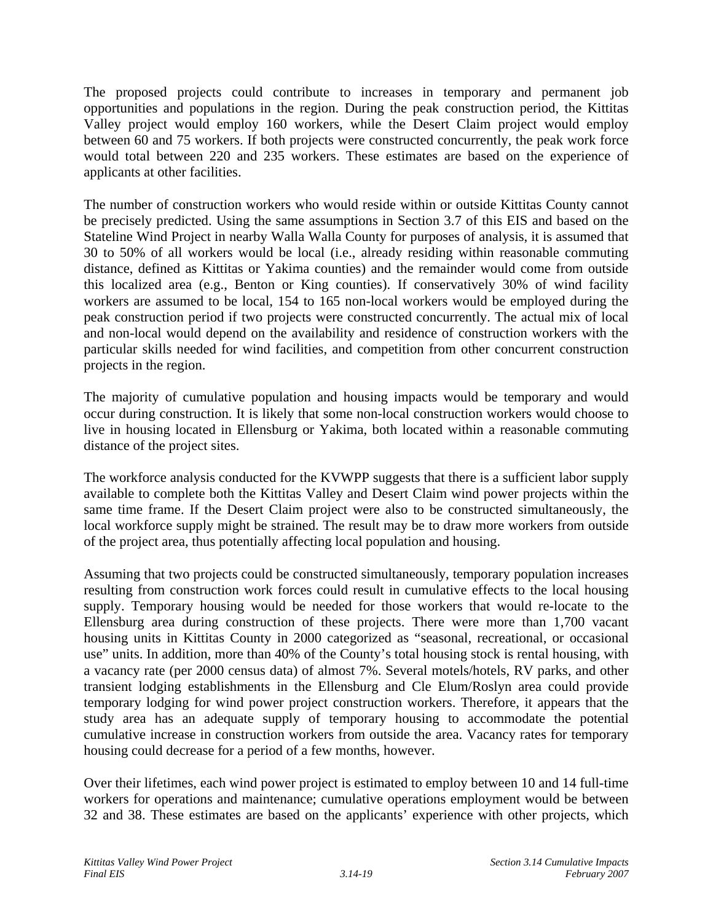The proposed projects could contribute to increases in temporary and permanent job opportunities and populations in the region. During the peak construction period, the Kittitas Valley project would employ 160 workers, while the Desert Claim project would employ between 60 and 75 workers. If both projects were constructed concurrently, the peak work force would total between 220 and 235 workers. These estimates are based on the experience of applicants at other facilities.

The number of construction workers who would reside within or outside Kittitas County cannot be precisely predicted. Using the same assumptions in Section 3.7 of this EIS and based on the Stateline Wind Project in nearby Walla Walla County for purposes of analysis, it is assumed that 30 to 50% of all workers would be local (i.e., already residing within reasonable commuting distance, defined as Kittitas or Yakima counties) and the remainder would come from outside this localized area (e.g., Benton or King counties). If conservatively 30% of wind facility workers are assumed to be local, 154 to 165 non-local workers would be employed during the peak construction period if two projects were constructed concurrently. The actual mix of local and non-local would depend on the availability and residence of construction workers with the particular skills needed for wind facilities, and competition from other concurrent construction projects in the region.

The majority of cumulative population and housing impacts would be temporary and would occur during construction. It is likely that some non-local construction workers would choose to live in housing located in Ellensburg or Yakima, both located within a reasonable commuting distance of the project sites.

The workforce analysis conducted for the KVWPP suggests that there is a sufficient labor supply available to complete both the Kittitas Valley and Desert Claim wind power projects within the same time frame. If the Desert Claim project were also to be constructed simultaneously, the local workforce supply might be strained. The result may be to draw more workers from outside of the project area, thus potentially affecting local population and housing.

Assuming that two projects could be constructed simultaneously, temporary population increases resulting from construction work forces could result in cumulative effects to the local housing supply. Temporary housing would be needed for those workers that would re-locate to the Ellensburg area during construction of these projects. There were more than 1,700 vacant housing units in Kittitas County in 2000 categorized as "seasonal, recreational, or occasional use" units. In addition, more than 40% of the County's total housing stock is rental housing, with a vacancy rate (per 2000 census data) of almost 7%. Several motels/hotels, RV parks, and other transient lodging establishments in the Ellensburg and Cle Elum/Roslyn area could provide temporary lodging for wind power project construction workers. Therefore, it appears that the study area has an adequate supply of temporary housing to accommodate the potential cumulative increase in construction workers from outside the area. Vacancy rates for temporary housing could decrease for a period of a few months, however.

Over their lifetimes, each wind power project is estimated to employ between 10 and 14 full-time workers for operations and maintenance; cumulative operations employment would be between 32 and 38. These estimates are based on the applicants' experience with other projects, which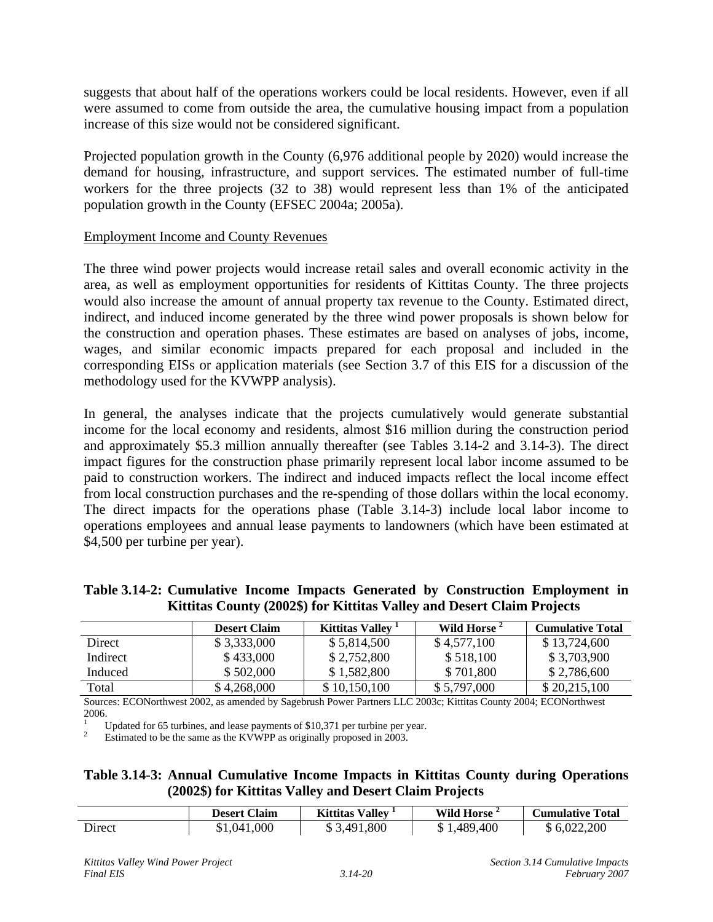suggests that about half of the operations workers could be local residents. However, even if all were assumed to come from outside the area, the cumulative housing impact from a population increase of this size would not be considered significant.

Projected population growth in the County (6,976 additional people by 2020) would increase the demand for housing, infrastructure, and support services. The estimated number of full-time workers for the three projects (32 to 38) would represent less than 1% of the anticipated population growth in the County (EFSEC 2004a; 2005a).

### Employment Income and County Revenues

The three wind power projects would increase retail sales and overall economic activity in the area, as well as employment opportunities for residents of Kittitas County. The three projects would also increase the amount of annual property tax revenue to the County. Estimated direct, indirect, and induced income generated by the three wind power proposals is shown below for the construction and operation phases. These estimates are based on analyses of jobs, income, wages, and similar economic impacts prepared for each proposal and included in the corresponding EISs or application materials (see Section 3.7 of this EIS for a discussion of the methodology used for the KVWPP analysis).

In general, the analyses indicate that the projects cumulatively would generate substantial income for the local economy and residents, almost \$16 million during the construction period and approximately \$5.3 million annually thereafter (see Tables 3.14-2 and 3.14-3). The direct impact figures for the construction phase primarily represent local labor income assumed to be paid to construction workers. The indirect and induced impacts reflect the local income effect from local construction purchases and the re-spending of those dollars within the local economy. The direct impacts for the operations phase (Table 3.14-3) include local labor income to operations employees and annual lease payments to landowners (which have been estimated at \$4,500 per turbine per year).

|  |  |  | Table 3.14-2: Cumulative Income Impacts Generated by Construction Employment in |  |
|--|--|--|---------------------------------------------------------------------------------|--|
|  |  |  | Kittitas County (2002\$) for Kittitas Valley and Desert Claim Projects          |  |

|          | <b>Desert Claim</b> | Kittitas Valley ' | Wild Horse  | <b>Cumulative Total</b> |
|----------|---------------------|-------------------|-------------|-------------------------|
| Direct   | \$3,333,000         | \$5,814,500       | \$4,577,100 | \$13,724,600            |
| Indirect | \$433,000           | \$2,752,800       | \$518,100   | \$3,703,900             |
| Induced  | \$502,000           | \$1,582,800       | \$701,800   | \$2,786,600             |
| Total    | \$4,268,000         | \$10,150,100      | \$5,797,000 | \$20,215,100            |

Sources: ECONorthwest 2002, as amended by Sagebrush Power Partners LLC 2003c; Kittitas County 2004; ECONorthwest 2006.<br><sup>1</sup> Updated for 65 turbines, and lease payments of \$10,371 per turbine per year.

Estimated to be the same as the KVWPP as originally proposed in 2003.

# **Table 3.14-3: Annual Cumulative Income Impacts in Kittitas County during Operations (2002\$) for Kittitas Valley and Desert Claim Projects**

|        | <b>Desert Claim</b> | Kittitas Valley | <b>Wild Horse</b> | <b>Cumulative Total</b> |
|--------|---------------------|-----------------|-------------------|-------------------------|
| Direct | \$1,041,000         | \$3,491,800     | \$1,489,400       | \$6,022,200             |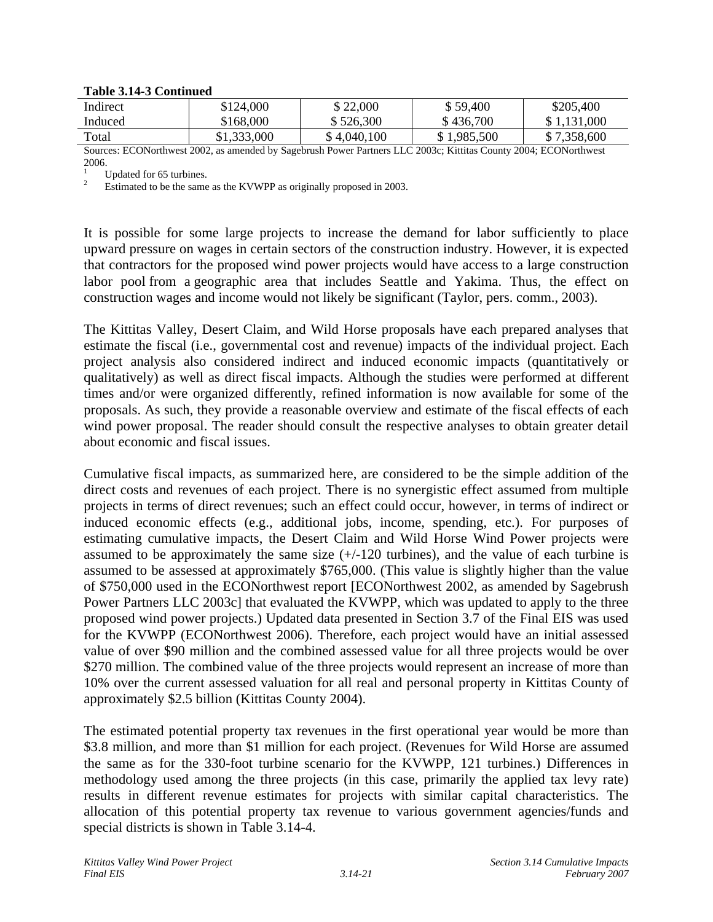#### **Table 3.14-3 Continued**

| Indirect                                                                                                         | \$124,000   | \$22,000    | \$59,400    | \$205,400   |  |  |
|------------------------------------------------------------------------------------------------------------------|-------------|-------------|-------------|-------------|--|--|
| Induced                                                                                                          | \$168,000   | \$526,300   | \$436,700   | \$1,131,000 |  |  |
| Total                                                                                                            | \$1,333,000 | \$4,040,100 | \$1,985,500 | \$7,358,600 |  |  |
| Sources: ECONorthwest 2002, as amended by Sagebrush Power Partners LLC 2003c: Kittitas County 2004: ECONorthwest |             |             |             |             |  |  |

Sources: ECONorthwest 2002, as amended by Sagebrush Power Partners LLC 2003c; Kittitas County 2004; ECONorthwest  $2006.$ 

<sup>1</sup> Updated for 65 turbines.<br><sup>2</sup> Estimated to be the same as the KVWPP as originally proposed in 2003.

It is possible for some large projects to increase the demand for labor sufficiently to place upward pressure on wages in certain sectors of the construction industry. However, it is expected that contractors for the proposed wind power projects would have access to a large construction labor pool from a geographic area that includes Seattle and Yakima. Thus, the effect on construction wages and income would not likely be significant (Taylor, pers. comm., 2003).

The Kittitas Valley, Desert Claim, and Wild Horse proposals have each prepared analyses that estimate the fiscal (i.e., governmental cost and revenue) impacts of the individual project. Each project analysis also considered indirect and induced economic impacts (quantitatively or qualitatively) as well as direct fiscal impacts. Although the studies were performed at different times and/or were organized differently, refined information is now available for some of the proposals. As such, they provide a reasonable overview and estimate of the fiscal effects of each wind power proposal. The reader should consult the respective analyses to obtain greater detail about economic and fiscal issues.

Cumulative fiscal impacts, as summarized here, are considered to be the simple addition of the direct costs and revenues of each project. There is no synergistic effect assumed from multiple projects in terms of direct revenues; such an effect could occur, however, in terms of indirect or induced economic effects (e.g., additional jobs, income, spending, etc.). For purposes of estimating cumulative impacts, the Desert Claim and Wild Horse Wind Power projects were assumed to be approximately the same size  $(+/-120$  turbines), and the value of each turbine is assumed to be assessed at approximately \$765,000. (This value is slightly higher than the value of \$750,000 used in the ECONorthwest report [ECONorthwest 2002, as amended by Sagebrush Power Partners LLC 2003c] that evaluated the KVWPP, which was updated to apply to the three proposed wind power projects.) Updated data presented in Section 3.7 of the Final EIS was used for the KVWPP (ECONorthwest 2006). Therefore, each project would have an initial assessed value of over \$90 million and the combined assessed value for all three projects would be over \$270 million. The combined value of the three projects would represent an increase of more than 10% over the current assessed valuation for all real and personal property in Kittitas County of approximately \$2.5 billion (Kittitas County 2004).

The estimated potential property tax revenues in the first operational year would be more than \$3.8 million, and more than \$1 million for each project. (Revenues for Wild Horse are assumed the same as for the 330-foot turbine scenario for the KVWPP, 121 turbines.) Differences in methodology used among the three projects (in this case, primarily the applied tax levy rate) results in different revenue estimates for projects with similar capital characteristics. The allocation of this potential property tax revenue to various government agencies/funds and special districts is shown in Table 3.14-4.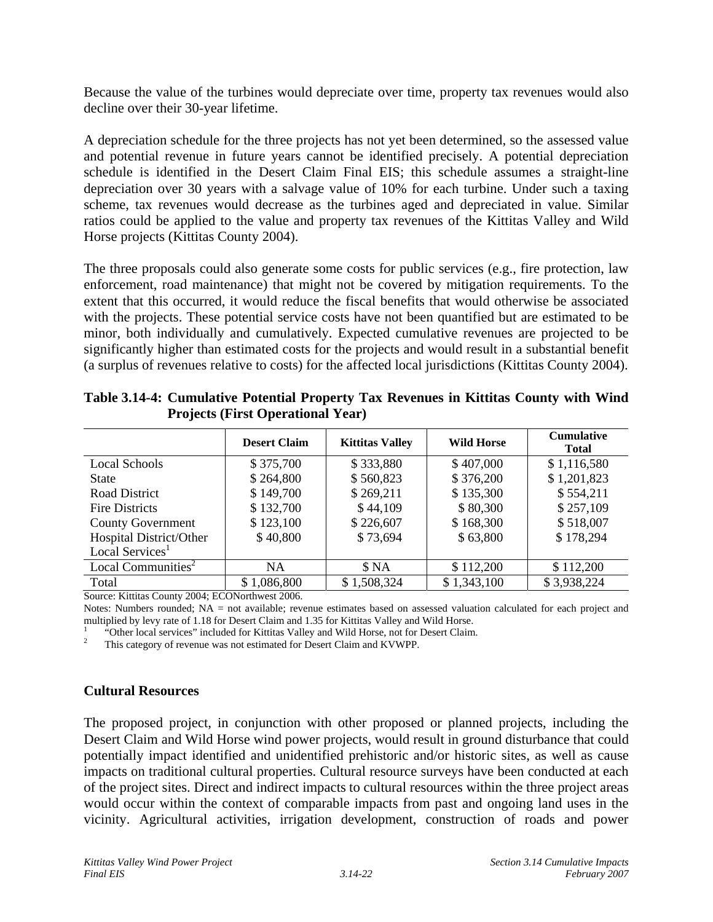Because the value of the turbines would depreciate over time, property tax revenues would also decline over their 30-year lifetime.

A depreciation schedule for the three projects has not yet been determined, so the assessed value and potential revenue in future years cannot be identified precisely. A potential depreciation schedule is identified in the Desert Claim Final EIS; this schedule assumes a straight-line depreciation over 30 years with a salvage value of 10% for each turbine. Under such a taxing scheme, tax revenues would decrease as the turbines aged and depreciated in value. Similar ratios could be applied to the value and property tax revenues of the Kittitas Valley and Wild Horse projects (Kittitas County 2004).

The three proposals could also generate some costs for public services (e.g., fire protection, law enforcement, road maintenance) that might not be covered by mitigation requirements. To the extent that this occurred, it would reduce the fiscal benefits that would otherwise be associated with the projects. These potential service costs have not been quantified but are estimated to be minor, both individually and cumulatively. Expected cumulative revenues are projected to be significantly higher than estimated costs for the projects and would result in a substantial benefit (a surplus of revenues relative to costs) for the affected local jurisdictions (Kittitas County 2004).

|                                | <b>Desert Claim</b> | <b>Kittitas Valley</b> | <b>Wild Horse</b> | <b>Cumulative</b><br><b>Total</b> |
|--------------------------------|---------------------|------------------------|-------------------|-----------------------------------|
| <b>Local Schools</b>           | \$375,700           | \$333,880              | \$407,000         | \$1,116,580                       |
| <b>State</b>                   | \$264,800           | \$560,823              | \$376,200         | \$1,201,823                       |
| Road District                  | \$149,700           | \$269,211              | \$135,300         | \$554,211                         |
| <b>Fire Districts</b>          | \$132,700           | \$44,109               | \$80,300          | \$257,109                         |
| <b>County Government</b>       | \$123,100           | \$226,607              | \$168,300         | \$518,007                         |
| Hospital District/Other        | \$40,800            | \$73,694               | \$63,800          | \$178,294                         |
| Local Services <sup>1</sup>    |                     |                        |                   |                                   |
| Local Communities <sup>2</sup> | NA.                 | \$ NA                  | \$112,200         | \$112,200                         |
| Total                          | \$1,086,800         | \$1,508,324            | \$1,343,100       | \$3,938,224                       |

**Table 3.14-4: Cumulative Potential Property Tax Revenues in Kittitas County with Wind Projects (First Operational Year)**

Source: Kittitas County 2004; ECONorthwest 2006.

Notes: Numbers rounded; NA = not available; revenue estimates based on assessed valuation calculated for each project and multiplied by levy rate of 1.18 for Desert Claim and 1.35 for Kittitas Valley and Wild Horse.

<sup>1</sup> "Other local services" included for Kittitas Valley and Wild Horse, not for Desert Claim.<br><sup>2</sup> This category of revenue was not estimated for Desert Claim and KVWPP.

#### **Cultural Resources**

The proposed project, in conjunction with other proposed or planned projects, including the Desert Claim and Wild Horse wind power projects, would result in ground disturbance that could potentially impact identified and unidentified prehistoric and/or historic sites, as well as cause impacts on traditional cultural properties. Cultural resource surveys have been conducted at each of the project sites. Direct and indirect impacts to cultural resources within the three project areas would occur within the context of comparable impacts from past and ongoing land uses in the vicinity. Agricultural activities, irrigation development, construction of roads and power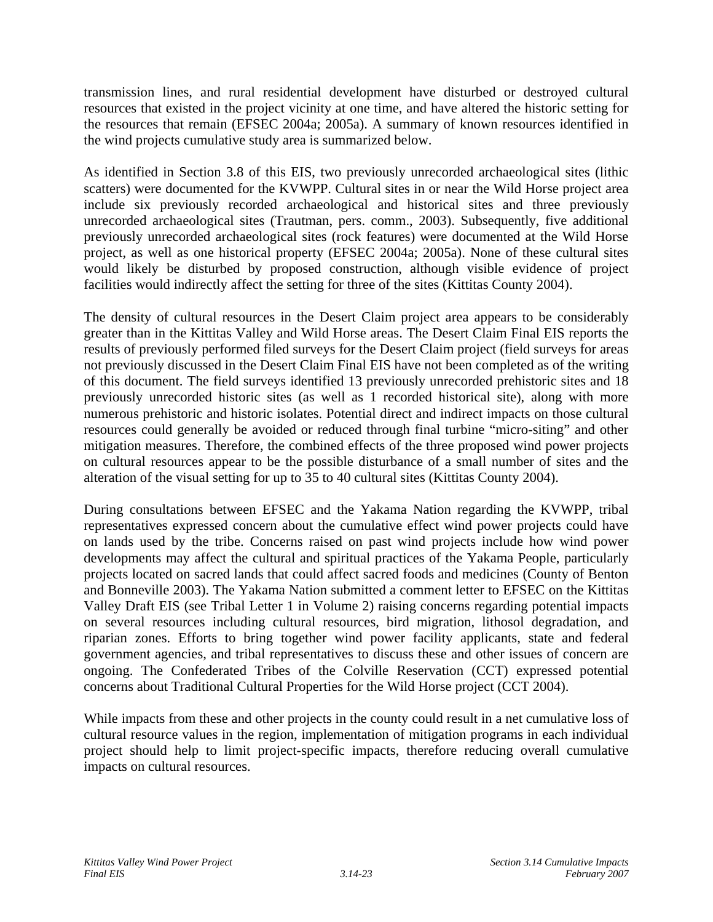transmission lines, and rural residential development have disturbed or destroyed cultural resources that existed in the project vicinity at one time, and have altered the historic setting for the resources that remain (EFSEC 2004a; 2005a). A summary of known resources identified in the wind projects cumulative study area is summarized below.

As identified in Section 3.8 of this EIS, two previously unrecorded archaeological sites (lithic scatters) were documented for the KVWPP. Cultural sites in or near the Wild Horse project area include six previously recorded archaeological and historical sites and three previously unrecorded archaeological sites (Trautman, pers. comm., 2003). Subsequently, five additional previously unrecorded archaeological sites (rock features) were documented at the Wild Horse project, as well as one historical property (EFSEC 2004a; 2005a). None of these cultural sites would likely be disturbed by proposed construction, although visible evidence of project facilities would indirectly affect the setting for three of the sites (Kittitas County 2004).

The density of cultural resources in the Desert Claim project area appears to be considerably greater than in the Kittitas Valley and Wild Horse areas. The Desert Claim Final EIS reports the results of previously performed filed surveys for the Desert Claim project (field surveys for areas not previously discussed in the Desert Claim Final EIS have not been completed as of the writing of this document. The field surveys identified 13 previously unrecorded prehistoric sites and 18 previously unrecorded historic sites (as well as 1 recorded historical site), along with more numerous prehistoric and historic isolates. Potential direct and indirect impacts on those cultural resources could generally be avoided or reduced through final turbine "micro-siting" and other mitigation measures. Therefore, the combined effects of the three proposed wind power projects on cultural resources appear to be the possible disturbance of a small number of sites and the alteration of the visual setting for up to 35 to 40 cultural sites (Kittitas County 2004).

During consultations between EFSEC and the Yakama Nation regarding the KVWPP, tribal representatives expressed concern about the cumulative effect wind power projects could have on lands used by the tribe. Concerns raised on past wind projects include how wind power developments may affect the cultural and spiritual practices of the Yakama People, particularly projects located on sacred lands that could affect sacred foods and medicines (County of Benton and Bonneville 2003). The Yakama Nation submitted a comment letter to EFSEC on the Kittitas Valley Draft EIS (see Tribal Letter 1 in Volume 2) raising concerns regarding potential impacts on several resources including cultural resources, bird migration, lithosol degradation, and riparian zones. Efforts to bring together wind power facility applicants, state and federal government agencies, and tribal representatives to discuss these and other issues of concern are ongoing. The Confederated Tribes of the Colville Reservation (CCT) expressed potential concerns about Traditional Cultural Properties for the Wild Horse project (CCT 2004).

While impacts from these and other projects in the county could result in a net cumulative loss of cultural resource values in the region, implementation of mitigation programs in each individual project should help to limit project-specific impacts, therefore reducing overall cumulative impacts on cultural resources.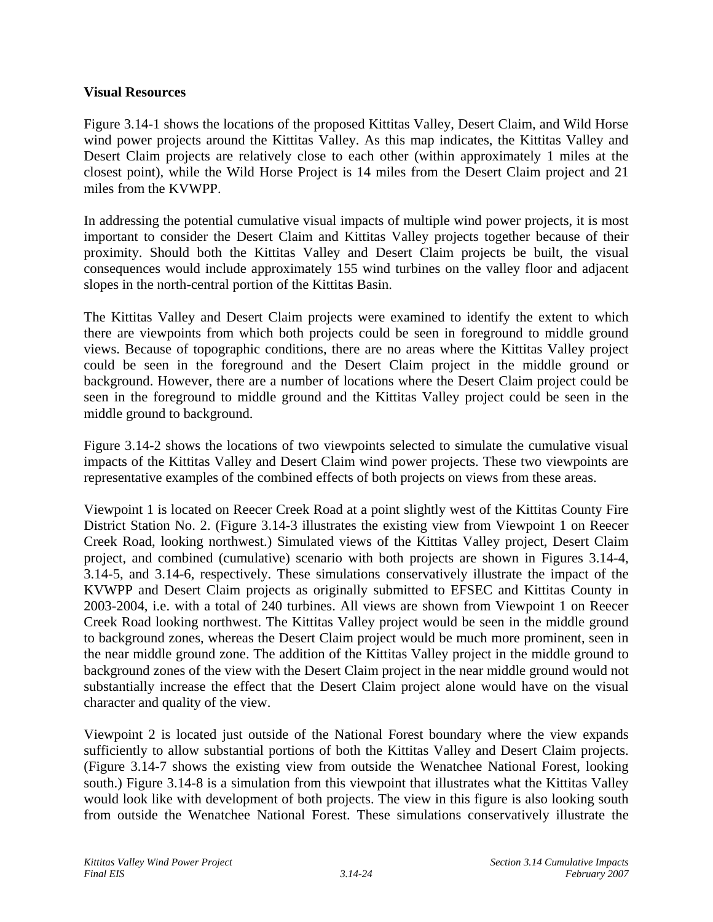#### **Visual Resources**

Figure 3.14-1 shows the locations of the proposed Kittitas Valley, Desert Claim, and Wild Horse wind power projects around the Kittitas Valley. As this map indicates, the Kittitas Valley and Desert Claim projects are relatively close to each other (within approximately 1 miles at the closest point), while the Wild Horse Project is 14 miles from the Desert Claim project and 21 miles from the KVWPP.

In addressing the potential cumulative visual impacts of multiple wind power projects, it is most important to consider the Desert Claim and Kittitas Valley projects together because of their proximity. Should both the Kittitas Valley and Desert Claim projects be built, the visual consequences would include approximately 155 wind turbines on the valley floor and adjacent slopes in the north-central portion of the Kittitas Basin.

The Kittitas Valley and Desert Claim projects were examined to identify the extent to which there are viewpoints from which both projects could be seen in foreground to middle ground views. Because of topographic conditions, there are no areas where the Kittitas Valley project could be seen in the foreground and the Desert Claim project in the middle ground or background. However, there are a number of locations where the Desert Claim project could be seen in the foreground to middle ground and the Kittitas Valley project could be seen in the middle ground to background.

Figure 3.14-2 shows the locations of two viewpoints selected to simulate the cumulative visual impacts of the Kittitas Valley and Desert Claim wind power projects. These two viewpoints are representative examples of the combined effects of both projects on views from these areas.

Viewpoint 1 is located on Reecer Creek Road at a point slightly west of the Kittitas County Fire District Station No. 2. (Figure 3.14-3 illustrates the existing view from Viewpoint 1 on Reecer Creek Road, looking northwest.) Simulated views of the Kittitas Valley project, Desert Claim project, and combined (cumulative) scenario with both projects are shown in Figures 3.14-4, 3.14-5, and 3.14-6, respectively. These simulations conservatively illustrate the impact of the KVWPP and Desert Claim projects as originally submitted to EFSEC and Kittitas County in 2003-2004, i.e. with a total of 240 turbines. All views are shown from Viewpoint 1 on Reecer Creek Road looking northwest. The Kittitas Valley project would be seen in the middle ground to background zones, whereas the Desert Claim project would be much more prominent, seen in the near middle ground zone. The addition of the Kittitas Valley project in the middle ground to background zones of the view with the Desert Claim project in the near middle ground would not substantially increase the effect that the Desert Claim project alone would have on the visual character and quality of the view.

Viewpoint 2 is located just outside of the National Forest boundary where the view expands sufficiently to allow substantial portions of both the Kittitas Valley and Desert Claim projects. (Figure 3.14-7 shows the existing view from outside the Wenatchee National Forest, looking south.) Figure 3.14-8 is a simulation from this viewpoint that illustrates what the Kittitas Valley would look like with development of both projects. The view in this figure is also looking south from outside the Wenatchee National Forest. These simulations conservatively illustrate the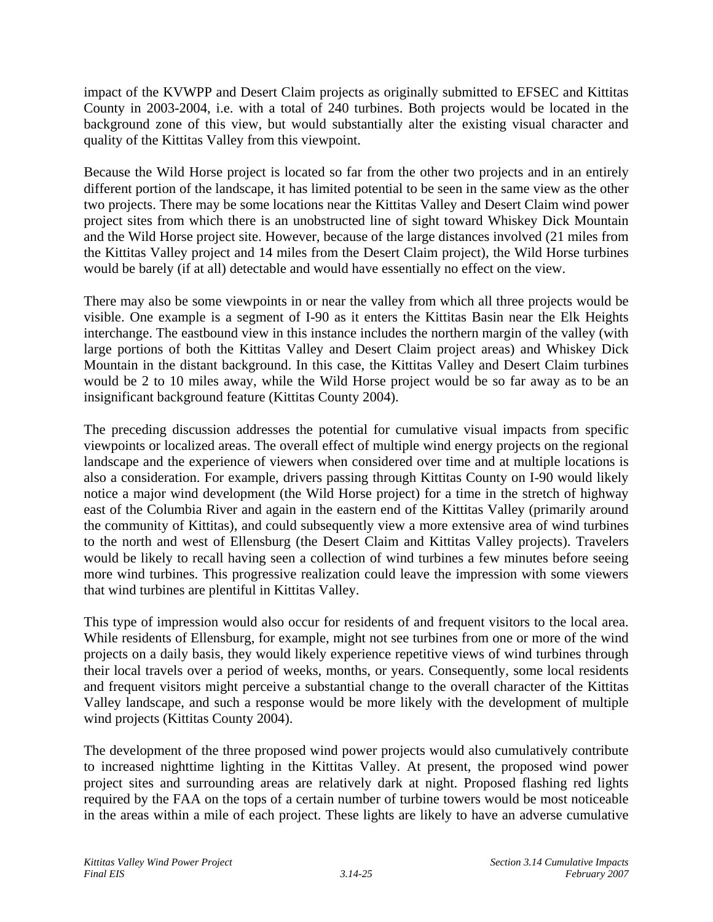impact of the KVWPP and Desert Claim projects as originally submitted to EFSEC and Kittitas County in 2003-2004, i.e. with a total of 240 turbines. Both projects would be located in the background zone of this view, but would substantially alter the existing visual character and quality of the Kittitas Valley from this viewpoint.

Because the Wild Horse project is located so far from the other two projects and in an entirely different portion of the landscape, it has limited potential to be seen in the same view as the other two projects. There may be some locations near the Kittitas Valley and Desert Claim wind power project sites from which there is an unobstructed line of sight toward Whiskey Dick Mountain and the Wild Horse project site. However, because of the large distances involved (21 miles from the Kittitas Valley project and 14 miles from the Desert Claim project), the Wild Horse turbines would be barely (if at all) detectable and would have essentially no effect on the view.

There may also be some viewpoints in or near the valley from which all three projects would be visible. One example is a segment of I-90 as it enters the Kittitas Basin near the Elk Heights interchange. The eastbound view in this instance includes the northern margin of the valley (with large portions of both the Kittitas Valley and Desert Claim project areas) and Whiskey Dick Mountain in the distant background. In this case, the Kittitas Valley and Desert Claim turbines would be 2 to 10 miles away, while the Wild Horse project would be so far away as to be an insignificant background feature (Kittitas County 2004).

The preceding discussion addresses the potential for cumulative visual impacts from specific viewpoints or localized areas. The overall effect of multiple wind energy projects on the regional landscape and the experience of viewers when considered over time and at multiple locations is also a consideration. For example, drivers passing through Kittitas County on I-90 would likely notice a major wind development (the Wild Horse project) for a time in the stretch of highway east of the Columbia River and again in the eastern end of the Kittitas Valley (primarily around the community of Kittitas), and could subsequently view a more extensive area of wind turbines to the north and west of Ellensburg (the Desert Claim and Kittitas Valley projects). Travelers would be likely to recall having seen a collection of wind turbines a few minutes before seeing more wind turbines. This progressive realization could leave the impression with some viewers that wind turbines are plentiful in Kittitas Valley.

This type of impression would also occur for residents of and frequent visitors to the local area. While residents of Ellensburg, for example, might not see turbines from one or more of the wind projects on a daily basis, they would likely experience repetitive views of wind turbines through their local travels over a period of weeks, months, or years. Consequently, some local residents and frequent visitors might perceive a substantial change to the overall character of the Kittitas Valley landscape, and such a response would be more likely with the development of multiple wind projects (Kittitas County 2004).

The development of the three proposed wind power projects would also cumulatively contribute to increased nighttime lighting in the Kittitas Valley. At present, the proposed wind power project sites and surrounding areas are relatively dark at night. Proposed flashing red lights required by the FAA on the tops of a certain number of turbine towers would be most noticeable in the areas within a mile of each project. These lights are likely to have an adverse cumulative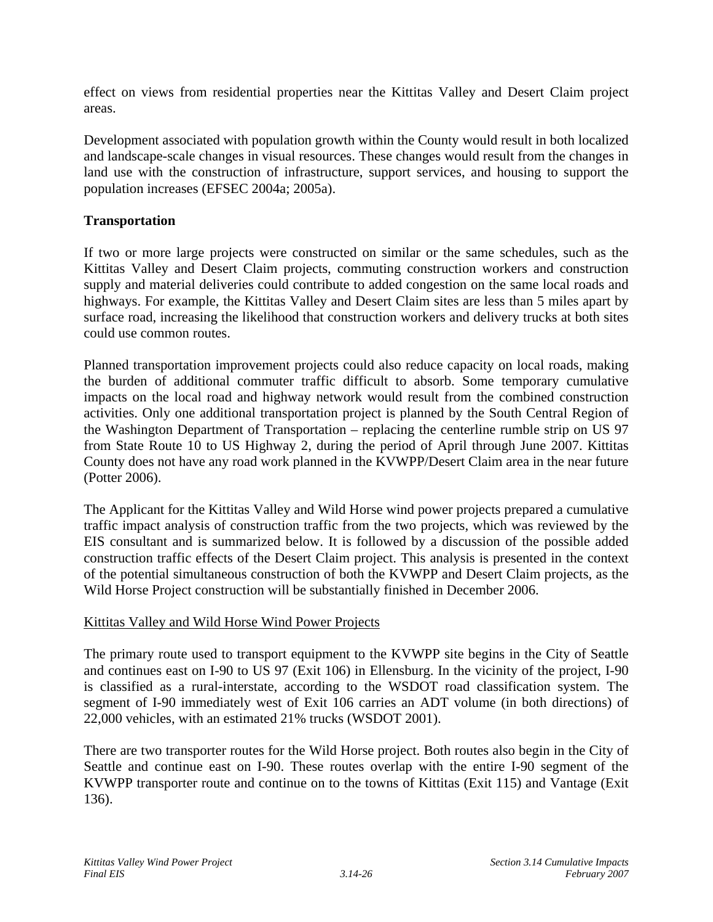effect on views from residential properties near the Kittitas Valley and Desert Claim project areas.

Development associated with population growth within the County would result in both localized and landscape-scale changes in visual resources. These changes would result from the changes in land use with the construction of infrastructure, support services, and housing to support the population increases (EFSEC 2004a; 2005a).

### **Transportation**

If two or more large projects were constructed on similar or the same schedules, such as the Kittitas Valley and Desert Claim projects, commuting construction workers and construction supply and material deliveries could contribute to added congestion on the same local roads and highways. For example, the Kittitas Valley and Desert Claim sites are less than 5 miles apart by surface road, increasing the likelihood that construction workers and delivery trucks at both sites could use common routes.

Planned transportation improvement projects could also reduce capacity on local roads, making the burden of additional commuter traffic difficult to absorb. Some temporary cumulative impacts on the local road and highway network would result from the combined construction activities. Only one additional transportation project is planned by the South Central Region of the Washington Department of Transportation – replacing the centerline rumble strip on US 97 from State Route 10 to US Highway 2, during the period of April through June 2007. Kittitas County does not have any road work planned in the KVWPP/Desert Claim area in the near future (Potter 2006).

The Applicant for the Kittitas Valley and Wild Horse wind power projects prepared a cumulative traffic impact analysis of construction traffic from the two projects, which was reviewed by the EIS consultant and is summarized below. It is followed by a discussion of the possible added construction traffic effects of the Desert Claim project. This analysis is presented in the context of the potential simultaneous construction of both the KVWPP and Desert Claim projects, as the Wild Horse Project construction will be substantially finished in December 2006.

#### Kittitas Valley and Wild Horse Wind Power Projects

The primary route used to transport equipment to the KVWPP site begins in the City of Seattle and continues east on I-90 to US 97 (Exit 106) in Ellensburg. In the vicinity of the project, I-90 is classified as a rural-interstate, according to the WSDOT road classification system. The segment of I-90 immediately west of Exit 106 carries an ADT volume (in both directions) of 22,000 vehicles, with an estimated 21% trucks (WSDOT 2001).

There are two transporter routes for the Wild Horse project. Both routes also begin in the City of Seattle and continue east on I-90. These routes overlap with the entire I-90 segment of the KVWPP transporter route and continue on to the towns of Kittitas (Exit 115) and Vantage (Exit 136).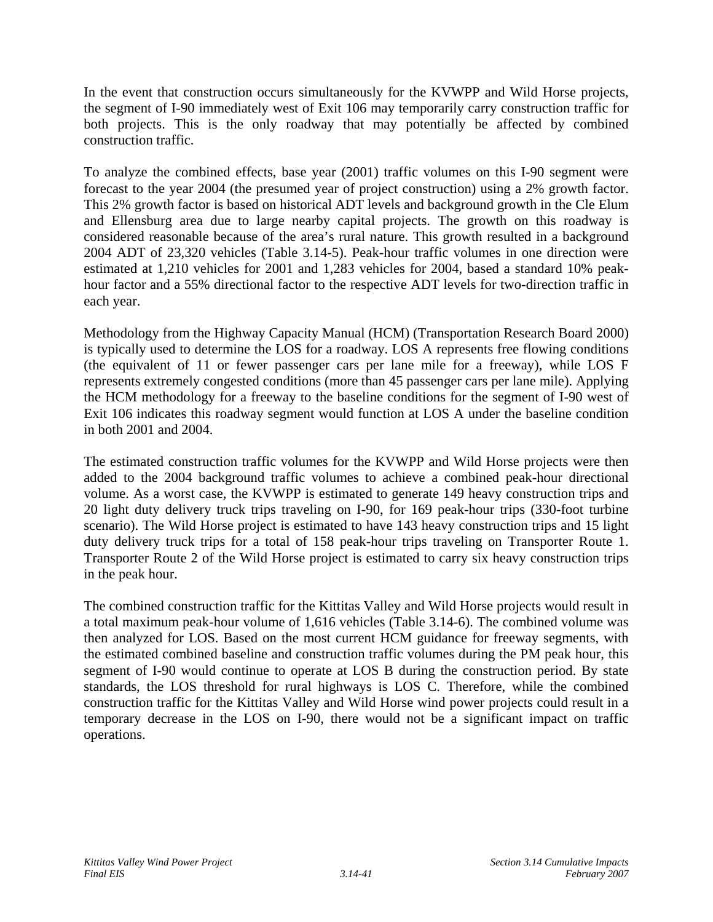In the event that construction occurs simultaneously for the KVWPP and Wild Horse projects, the segment of I-90 immediately west of Exit 106 may temporarily carry construction traffic for both projects. This is the only roadway that may potentially be affected by combined construction traffic.

To analyze the combined effects, base year (2001) traffic volumes on this I-90 segment were forecast to the year 2004 (the presumed year of project construction) using a 2% growth factor. This 2% growth factor is based on historical ADT levels and background growth in the Cle Elum and Ellensburg area due to large nearby capital projects. The growth on this roadway is considered reasonable because of the area's rural nature. This growth resulted in a background 2004 ADT of 23,320 vehicles (Table 3.14-5). Peak-hour traffic volumes in one direction were estimated at 1,210 vehicles for 2001 and 1,283 vehicles for 2004, based a standard 10% peakhour factor and a 55% directional factor to the respective ADT levels for two-direction traffic in each year.

Methodology from the Highway Capacity Manual (HCM) (Transportation Research Board 2000) is typically used to determine the LOS for a roadway. LOS A represents free flowing conditions (the equivalent of 11 or fewer passenger cars per lane mile for a freeway), while LOS F represents extremely congested conditions (more than 45 passenger cars per lane mile). Applying the HCM methodology for a freeway to the baseline conditions for the segment of I-90 west of Exit 106 indicates this roadway segment would function at LOS A under the baseline condition in both 2001 and 2004.

The estimated construction traffic volumes for the KVWPP and Wild Horse projects were then added to the 2004 background traffic volumes to achieve a combined peak-hour directional volume. As a worst case, the KVWPP is estimated to generate 149 heavy construction trips and 20 light duty delivery truck trips traveling on I-90, for 169 peak-hour trips (330-foot turbine scenario). The Wild Horse project is estimated to have 143 heavy construction trips and 15 light duty delivery truck trips for a total of 158 peak-hour trips traveling on Transporter Route 1. Transporter Route 2 of the Wild Horse project is estimated to carry six heavy construction trips in the peak hour.

The combined construction traffic for the Kittitas Valley and Wild Horse projects would result in a total maximum peak-hour volume of 1,616 vehicles (Table 3.14-6). The combined volume was then analyzed for LOS. Based on the most current HCM guidance for freeway segments, with the estimated combined baseline and construction traffic volumes during the PM peak hour, this segment of I-90 would continue to operate at LOS B during the construction period. By state standards, the LOS threshold for rural highways is LOS C. Therefore, while the combined construction traffic for the Kittitas Valley and Wild Horse wind power projects could result in a temporary decrease in the LOS on I-90, there would not be a significant impact on traffic operations.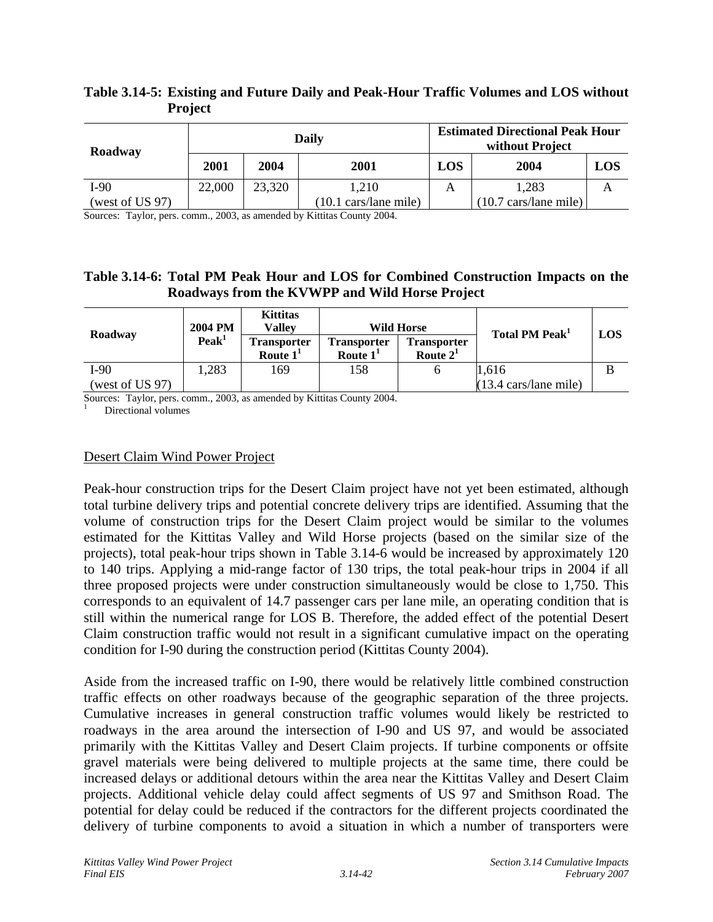| Roadway         |        | Daily  |                                        |     | <b>Estimated Directional Peak Hour</b><br>without Project |     |  |
|-----------------|--------|--------|----------------------------------------|-----|-----------------------------------------------------------|-----|--|
|                 | 2001   | 2004   | 2001                                   | LOS | 2004                                                      | LOS |  |
| I-90            | 22,000 | 23,320 | 1.210                                  | A   | 1,283                                                     |     |  |
| (west of US 97) |        |        | $(10.1 \text{ cars}/\text{lane mile})$ |     | $(10.7 \text{ cars}/\text{lane mile})$                    |     |  |

# **Table 3.14-5: Existing and Future Daily and Peak-Hour Traffic Volumes and LOS without Project**

Sources: Taylor, pers. comm., 2003, as amended by Kittitas County 2004.

### **Table 3.14-6: Total PM Peak Hour and LOS for Combined Construction Impacts on the Roadways from the KVWPP and Wild Horse Project**

| Roadway         | <b>2004 PM</b>    | <b>Kittitas</b><br><b>Valley</b> | <b>Wild Horse</b>                |                                  | Total PM Peak <sup>1</sup>             | LOS |
|-----------------|-------------------|----------------------------------|----------------------------------|----------------------------------|----------------------------------------|-----|
|                 | Peak <sup>1</sup> | <b>Transporter</b><br>Route $11$ | <b>Transporter</b><br>Route $11$ | <b>Transporter</b><br>Route $21$ |                                        |     |
| I-90            | .283              | 169                              | 158                              |                                  | 1.616                                  | В   |
| (west of US 97) |                   |                                  |                                  |                                  | $(13.4 \text{ cars}/\text{lane mile})$ |     |

Sources: Taylor, pers. comm., 2003, as amended by Kittitas County 2004.

Directional volumes

### Desert Claim Wind Power Project

Peak-hour construction trips for the Desert Claim project have not yet been estimated, although total turbine delivery trips and potential concrete delivery trips are identified. Assuming that the volume of construction trips for the Desert Claim project would be similar to the volumes estimated for the Kittitas Valley and Wild Horse projects (based on the similar size of the projects), total peak-hour trips shown in Table 3.14-6 would be increased by approximately 120 to 140 trips. Applying a mid-range factor of 130 trips, the total peak-hour trips in 2004 if all three proposed projects were under construction simultaneously would be close to 1,750. This corresponds to an equivalent of 14.7 passenger cars per lane mile, an operating condition that is still within the numerical range for LOS B. Therefore, the added effect of the potential Desert Claim construction traffic would not result in a significant cumulative impact on the operating condition for I-90 during the construction period (Kittitas County 2004).

Aside from the increased traffic on I-90, there would be relatively little combined construction traffic effects on other roadways because of the geographic separation of the three projects. Cumulative increases in general construction traffic volumes would likely be restricted to roadways in the area around the intersection of I-90 and US 97, and would be associated primarily with the Kittitas Valley and Desert Claim projects. If turbine components or offsite gravel materials were being delivered to multiple projects at the same time, there could be increased delays or additional detours within the area near the Kittitas Valley and Desert Claim projects. Additional vehicle delay could affect segments of US 97 and Smithson Road. The potential for delay could be reduced if the contractors for the different projects coordinated the delivery of turbine components to avoid a situation in which a number of transporters were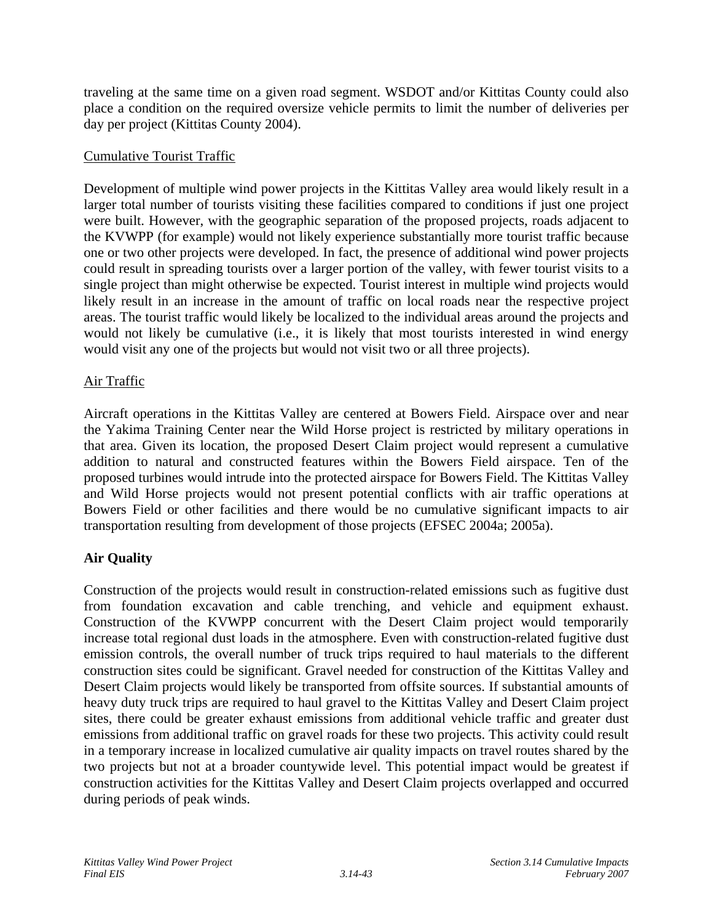traveling at the same time on a given road segment. WSDOT and/or Kittitas County could also place a condition on the required oversize vehicle permits to limit the number of deliveries per day per project (Kittitas County 2004).

### Cumulative Tourist Traffic

Development of multiple wind power projects in the Kittitas Valley area would likely result in a larger total number of tourists visiting these facilities compared to conditions if just one project were built. However, with the geographic separation of the proposed projects, roads adjacent to the KVWPP (for example) would not likely experience substantially more tourist traffic because one or two other projects were developed. In fact, the presence of additional wind power projects could result in spreading tourists over a larger portion of the valley, with fewer tourist visits to a single project than might otherwise be expected. Tourist interest in multiple wind projects would likely result in an increase in the amount of traffic on local roads near the respective project areas. The tourist traffic would likely be localized to the individual areas around the projects and would not likely be cumulative (i.e., it is likely that most tourists interested in wind energy would visit any one of the projects but would not visit two or all three projects).

### Air Traffic

Aircraft operations in the Kittitas Valley are centered at Bowers Field. Airspace over and near the Yakima Training Center near the Wild Horse project is restricted by military operations in that area. Given its location, the proposed Desert Claim project would represent a cumulative addition to natural and constructed features within the Bowers Field airspace. Ten of the proposed turbines would intrude into the protected airspace for Bowers Field. The Kittitas Valley and Wild Horse projects would not present potential conflicts with air traffic operations at Bowers Field or other facilities and there would be no cumulative significant impacts to air transportation resulting from development of those projects (EFSEC 2004a; 2005a).

# **Air Quality**

Construction of the projects would result in construction-related emissions such as fugitive dust from foundation excavation and cable trenching, and vehicle and equipment exhaust. Construction of the KVWPP concurrent with the Desert Claim project would temporarily increase total regional dust loads in the atmosphere. Even with construction-related fugitive dust emission controls, the overall number of truck trips required to haul materials to the different construction sites could be significant. Gravel needed for construction of the Kittitas Valley and Desert Claim projects would likely be transported from offsite sources. If substantial amounts of heavy duty truck trips are required to haul gravel to the Kittitas Valley and Desert Claim project sites, there could be greater exhaust emissions from additional vehicle traffic and greater dust emissions from additional traffic on gravel roads for these two projects. This activity could result in a temporary increase in localized cumulative air quality impacts on travel routes shared by the two projects but not at a broader countywide level. This potential impact would be greatest if construction activities for the Kittitas Valley and Desert Claim projects overlapped and occurred during periods of peak winds.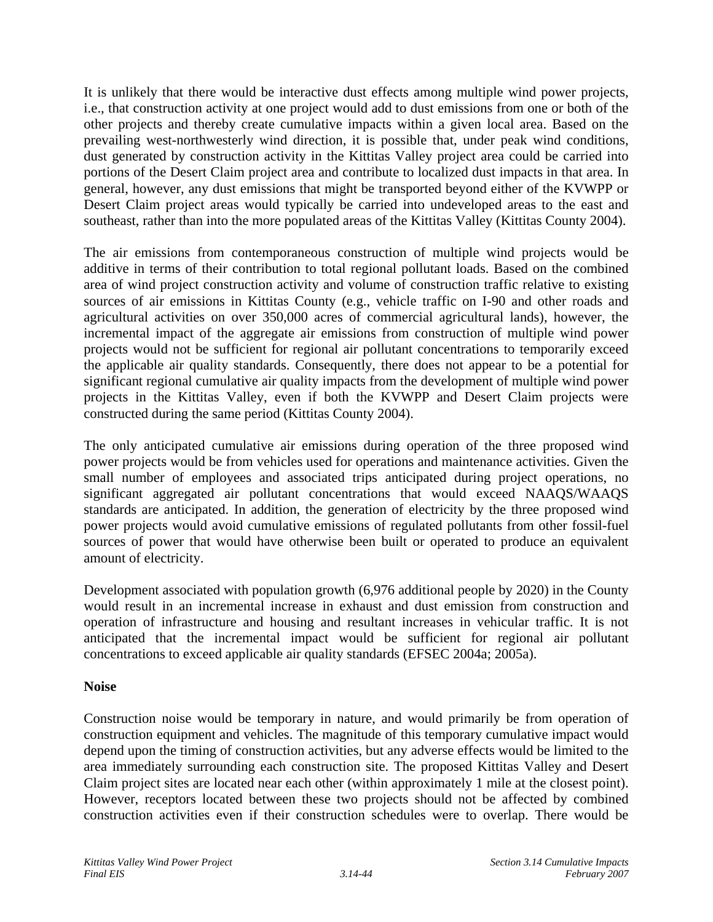It is unlikely that there would be interactive dust effects among multiple wind power projects, i.e., that construction activity at one project would add to dust emissions from one or both of the other projects and thereby create cumulative impacts within a given local area. Based on the prevailing west-northwesterly wind direction, it is possible that, under peak wind conditions, dust generated by construction activity in the Kittitas Valley project area could be carried into portions of the Desert Claim project area and contribute to localized dust impacts in that area. In general, however, any dust emissions that might be transported beyond either of the KVWPP or Desert Claim project areas would typically be carried into undeveloped areas to the east and southeast, rather than into the more populated areas of the Kittitas Valley (Kittitas County 2004).

The air emissions from contemporaneous construction of multiple wind projects would be additive in terms of their contribution to total regional pollutant loads. Based on the combined area of wind project construction activity and volume of construction traffic relative to existing sources of air emissions in Kittitas County (e.g., vehicle traffic on I-90 and other roads and agricultural activities on over 350,000 acres of commercial agricultural lands), however, the incremental impact of the aggregate air emissions from construction of multiple wind power projects would not be sufficient for regional air pollutant concentrations to temporarily exceed the applicable air quality standards. Consequently, there does not appear to be a potential for significant regional cumulative air quality impacts from the development of multiple wind power projects in the Kittitas Valley, even if both the KVWPP and Desert Claim projects were constructed during the same period (Kittitas County 2004).

The only anticipated cumulative air emissions during operation of the three proposed wind power projects would be from vehicles used for operations and maintenance activities. Given the small number of employees and associated trips anticipated during project operations, no significant aggregated air pollutant concentrations that would exceed NAAQS/WAAQS standards are anticipated. In addition, the generation of electricity by the three proposed wind power projects would avoid cumulative emissions of regulated pollutants from other fossil-fuel sources of power that would have otherwise been built or operated to produce an equivalent amount of electricity.

Development associated with population growth (6,976 additional people by 2020) in the County would result in an incremental increase in exhaust and dust emission from construction and operation of infrastructure and housing and resultant increases in vehicular traffic. It is not anticipated that the incremental impact would be sufficient for regional air pollutant concentrations to exceed applicable air quality standards (EFSEC 2004a; 2005a).

# **Noise**

Construction noise would be temporary in nature, and would primarily be from operation of construction equipment and vehicles. The magnitude of this temporary cumulative impact would depend upon the timing of construction activities, but any adverse effects would be limited to the area immediately surrounding each construction site. The proposed Kittitas Valley and Desert Claim project sites are located near each other (within approximately 1 mile at the closest point). However, receptors located between these two projects should not be affected by combined construction activities even if their construction schedules were to overlap. There would be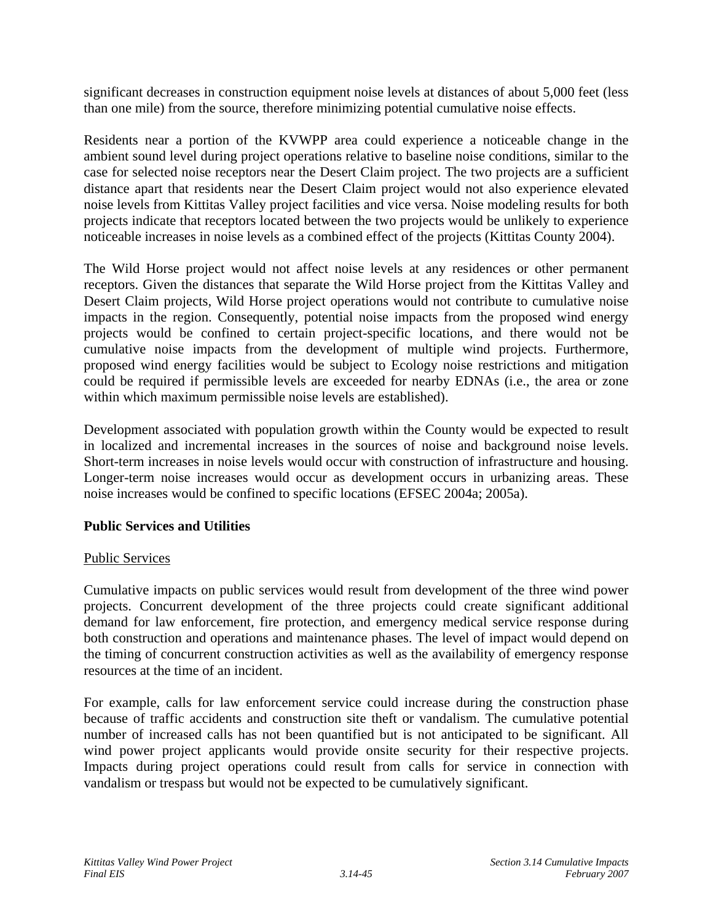significant decreases in construction equipment noise levels at distances of about 5,000 feet (less than one mile) from the source, therefore minimizing potential cumulative noise effects.

Residents near a portion of the KVWPP area could experience a noticeable change in the ambient sound level during project operations relative to baseline noise conditions, similar to the case for selected noise receptors near the Desert Claim project. The two projects are a sufficient distance apart that residents near the Desert Claim project would not also experience elevated noise levels from Kittitas Valley project facilities and vice versa. Noise modeling results for both projects indicate that receptors located between the two projects would be unlikely to experience noticeable increases in noise levels as a combined effect of the projects (Kittitas County 2004).

The Wild Horse project would not affect noise levels at any residences or other permanent receptors. Given the distances that separate the Wild Horse project from the Kittitas Valley and Desert Claim projects, Wild Horse project operations would not contribute to cumulative noise impacts in the region. Consequently, potential noise impacts from the proposed wind energy projects would be confined to certain project-specific locations, and there would not be cumulative noise impacts from the development of multiple wind projects. Furthermore, proposed wind energy facilities would be subject to Ecology noise restrictions and mitigation could be required if permissible levels are exceeded for nearby EDNAs (i.e., the area or zone within which maximum permissible noise levels are established).

Development associated with population growth within the County would be expected to result in localized and incremental increases in the sources of noise and background noise levels. Short-term increases in noise levels would occur with construction of infrastructure and housing. Longer-term noise increases would occur as development occurs in urbanizing areas. These noise increases would be confined to specific locations (EFSEC 2004a; 2005a).

# **Public Services and Utilities**

#### Public Services

Cumulative impacts on public services would result from development of the three wind power projects. Concurrent development of the three projects could create significant additional demand for law enforcement, fire protection, and emergency medical service response during both construction and operations and maintenance phases. The level of impact would depend on the timing of concurrent construction activities as well as the availability of emergency response resources at the time of an incident.

For example, calls for law enforcement service could increase during the construction phase because of traffic accidents and construction site theft or vandalism. The cumulative potential number of increased calls has not been quantified but is not anticipated to be significant. All wind power project applicants would provide onsite security for their respective projects. Impacts during project operations could result from calls for service in connection with vandalism or trespass but would not be expected to be cumulatively significant.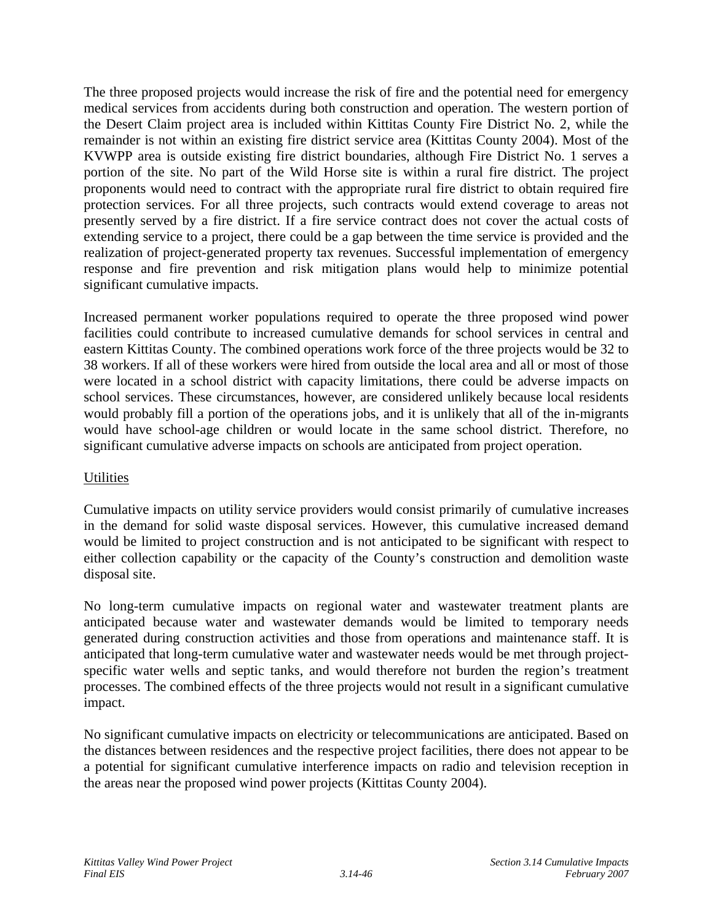The three proposed projects would increase the risk of fire and the potential need for emergency medical services from accidents during both construction and operation. The western portion of the Desert Claim project area is included within Kittitas County Fire District No. 2, while the remainder is not within an existing fire district service area (Kittitas County 2004). Most of the KVWPP area is outside existing fire district boundaries, although Fire District No. 1 serves a portion of the site. No part of the Wild Horse site is within a rural fire district. The project proponents would need to contract with the appropriate rural fire district to obtain required fire protection services. For all three projects, such contracts would extend coverage to areas not presently served by a fire district. If a fire service contract does not cover the actual costs of extending service to a project, there could be a gap between the time service is provided and the realization of project-generated property tax revenues. Successful implementation of emergency response and fire prevention and risk mitigation plans would help to minimize potential significant cumulative impacts.

Increased permanent worker populations required to operate the three proposed wind power facilities could contribute to increased cumulative demands for school services in central and eastern Kittitas County. The combined operations work force of the three projects would be 32 to 38 workers. If all of these workers were hired from outside the local area and all or most of those were located in a school district with capacity limitations, there could be adverse impacts on school services. These circumstances, however, are considered unlikely because local residents would probably fill a portion of the operations jobs, and it is unlikely that all of the in-migrants would have school-age children or would locate in the same school district. Therefore, no significant cumulative adverse impacts on schools are anticipated from project operation.

# **Utilities**

Cumulative impacts on utility service providers would consist primarily of cumulative increases in the demand for solid waste disposal services. However, this cumulative increased demand would be limited to project construction and is not anticipated to be significant with respect to either collection capability or the capacity of the County's construction and demolition waste disposal site.

No long-term cumulative impacts on regional water and wastewater treatment plants are anticipated because water and wastewater demands would be limited to temporary needs generated during construction activities and those from operations and maintenance staff. It is anticipated that long-term cumulative water and wastewater needs would be met through projectspecific water wells and septic tanks, and would therefore not burden the region's treatment processes. The combined effects of the three projects would not result in a significant cumulative impact.

No significant cumulative impacts on electricity or telecommunications are anticipated. Based on the distances between residences and the respective project facilities, there does not appear to be a potential for significant cumulative interference impacts on radio and television reception in the areas near the proposed wind power projects (Kittitas County 2004).